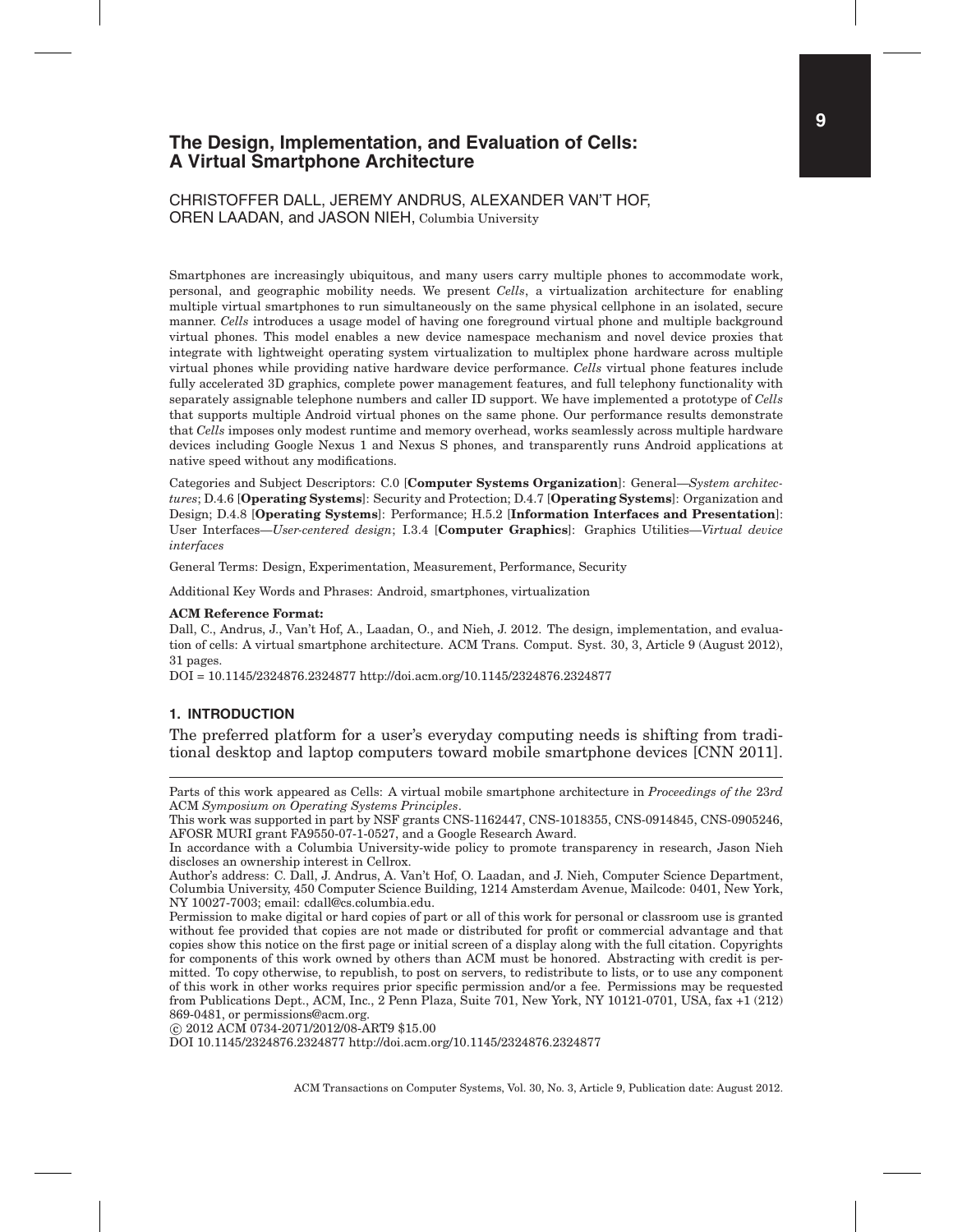# **The Design, Implementation, and Evaluation of Cells: A Virtual Smartphone Architecture**

# CHRISTOFFER DALL, JEREMY ANDRUS, ALEXANDER VAN'T HOF, OREN LAADAN, and JASON NIEH, Columbia University

Smartphones are increasingly ubiquitous, and many users carry multiple phones to accommodate work, personal, and geographic mobility needs. We present *Cells*, a virtualization architecture for enabling multiple virtual smartphones to run simultaneously on the same physical cellphone in an isolated, secure manner. *Cells* introduces a usage model of having one foreground virtual phone and multiple background virtual phones. This model enables a new device namespace mechanism and novel device proxies that integrate with lightweight operating system virtualization to multiplex phone hardware across multiple virtual phones while providing native hardware device performance. *Cells* virtual phone features include fully accelerated 3D graphics, complete power management features, and full telephony functionality with separately assignable telephone numbers and caller ID support. We have implemented a prototype of *Cells* that supports multiple Android virtual phones on the same phone. Our performance results demonstrate that *Cells* imposes only modest runtime and memory overhead, works seamlessly across multiple hardware devices including Google Nexus 1 and Nexus S phones, and transparently runs Android applications at native speed without any modifications.

Categories and Subject Descriptors: C.0 [**Computer Systems Organization**]: General—*System architectures*; D.4.6 [**Operating Systems**]: Security and Protection; D.4.7 [**Operating Systems**]: Organization and Design; D.4.8 [**Operating Systems**]: Performance; H.5.2 [**Information Interfaces and Presentation**]: User Interfaces—*User-centered design*; I.3.4 [**Computer Graphics**]: Graphics Utilities—*Virtual device interfaces*

General Terms: Design, Experimentation, Measurement, Performance, Security

Additional Key Words and Phrases: Android, smartphones, virtualization

## **ACM Reference Format:**

Dall, C., Andrus, J., Van't Hof, A., Laadan, O., and Nieh, J. 2012. The design, implementation, and evaluation of cells: A virtual smartphone architecture. ACM Trans. Comput. Syst. 30, 3, Article 9 (August 2012), 31 pages.

DOI = 10.1145/2324876.2324877 http://doi.acm.org/10.1145/2324876.2324877

## **1. INTRODUCTION**

The preferred platform for a user's everyday computing needs is shifting from traditional desktop and laptop computers toward mobile smartphone devices [CNN 2011].

-c 2012 ACM 0734-2071/2012/08-ART9 \$15.00

DOI 10.1145/2324876.2324877 http://doi.acm.org/10.1145/2324876.2324877

Parts of this work appeared as Cells: A virtual mobile smartphone architecture in *Proceedings of the* 23*rd* ACM *Symposium on Operating Systems Principles*.

This work was supported in part by NSF grants CNS-1162447, CNS-1018355, CNS-0914845, CNS-0905246, AFOSR MURI grant FA9550-07-1-0527, and a Google Research Award.

In accordance with a Columbia University-wide policy to promote transparency in research, Jason Nieh discloses an ownership interest in Cellrox.

Author's address: C. Dall, J. Andrus, A. Van't Hof, O. Laadan, and J. Nieh, Computer Science Department, Columbia University, 450 Computer Science Building, 1214 Amsterdam Avenue, Mailcode: 0401, New York, NY 10027-7003; email: cdall@cs.columbia.edu.

Permission to make digital or hard copies of part or all of this work for personal or classroom use is granted without fee provided that copies are not made or distributed for profit or commercial advantage and that copies show this notice on the first page or initial screen of a display along with the full citation. Copyrights for components of this work owned by others than ACM must be honored. Abstracting with credit is permitted. To copy otherwise, to republish, to post on servers, to redistribute to lists, or to use any component of this work in other works requires prior specific permission and/or a fee. Permissions may be requested from Publications Dept., ACM, Inc., 2 Penn Plaza, Suite 701, New York, NY 10121-0701, USA, fax +1 (212) 869-0481, or permissions@acm.org.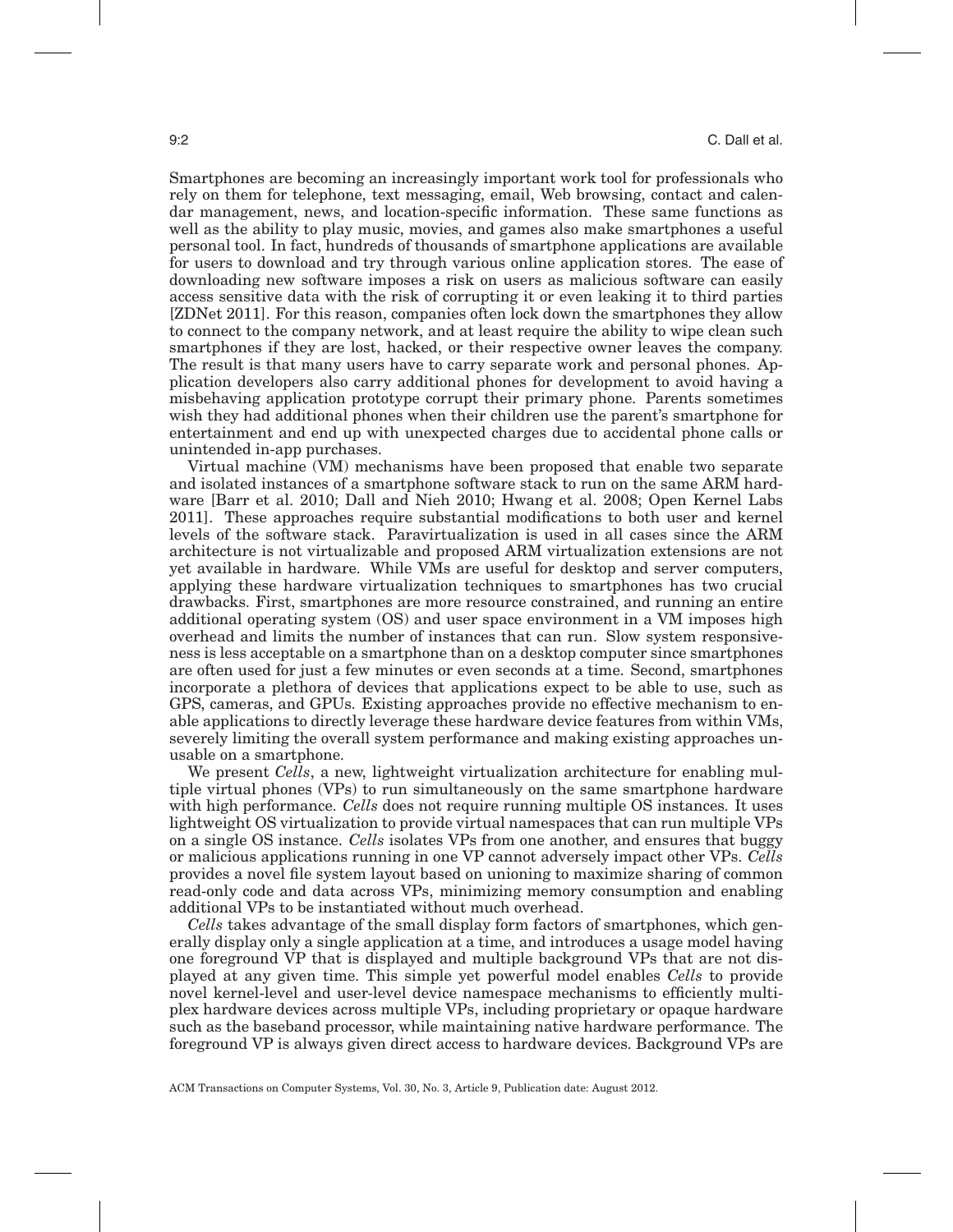Smartphones are becoming an increasingly important work tool for professionals who rely on them for telephone, text messaging, email, Web browsing, contact and calendar management, news, and location-specific information. These same functions as well as the ability to play music, movies, and games also make smartphones a useful personal tool. In fact, hundreds of thousands of smartphone applications are available for users to download and try through various online application stores. The ease of downloading new software imposes a risk on users as malicious software can easily access sensitive data with the risk of corrupting it or even leaking it to third parties [ZDNet 2011]. For this reason, companies often lock down the smartphones they allow to connect to the company network, and at least require the ability to wipe clean such smartphones if they are lost, hacked, or their respective owner leaves the company. The result is that many users have to carry separate work and personal phones. Application developers also carry additional phones for development to avoid having a misbehaving application prototype corrupt their primary phone. Parents sometimes wish they had additional phones when their children use the parent's smartphone for entertainment and end up with unexpected charges due to accidental phone calls or unintended in-app purchases.

Virtual machine (VM) mechanisms have been proposed that enable two separate and isolated instances of a smartphone software stack to run on the same ARM hardware [Barr et al. 2010; Dall and Nieh 2010; Hwang et al. 2008; Open Kernel Labs 2011]. These approaches require substantial modifications to both user and kernel levels of the software stack. Paravirtualization is used in all cases since the ARM architecture is not virtualizable and proposed ARM virtualization extensions are not yet available in hardware. While VMs are useful for desktop and server computers, applying these hardware virtualization techniques to smartphones has two crucial drawbacks. First, smartphones are more resource constrained, and running an entire additional operating system (OS) and user space environment in a VM imposes high overhead and limits the number of instances that can run. Slow system responsiveness is less acceptable on a smartphone than on a desktop computer since smartphones are often used for just a few minutes or even seconds at a time. Second, smartphones incorporate a plethora of devices that applications expect to be able to use, such as GPS, cameras, and GPUs. Existing approaches provide no effective mechanism to enable applications to directly leverage these hardware device features from within VMs, severely limiting the overall system performance and making existing approaches unusable on a smartphone.

We present *Cells*, a new, lightweight virtualization architecture for enabling multiple virtual phones (VPs) to run simultaneously on the same smartphone hardware with high performance. *Cells* does not require running multiple OS instances. It uses lightweight OS virtualization to provide virtual namespaces that can run multiple VPs on a single OS instance. *Cells* isolates VPs from one another, and ensures that buggy or malicious applications running in one VP cannot adversely impact other VPs. *Cells* provides a novel file system layout based on unioning to maximize sharing of common read-only code and data across VPs, minimizing memory consumption and enabling additional VPs to be instantiated without much overhead.

*Cells* takes advantage of the small display form factors of smartphones, which generally display only a single application at a time, and introduces a usage model having one foreground VP that is displayed and multiple background VPs that are not displayed at any given time. This simple yet powerful model enables *Cells* to provide novel kernel-level and user-level device namespace mechanisms to efficiently multiplex hardware devices across multiple VPs, including proprietary or opaque hardware such as the baseband processor, while maintaining native hardware performance. The foreground VP is always given direct access to hardware devices. Background VPs are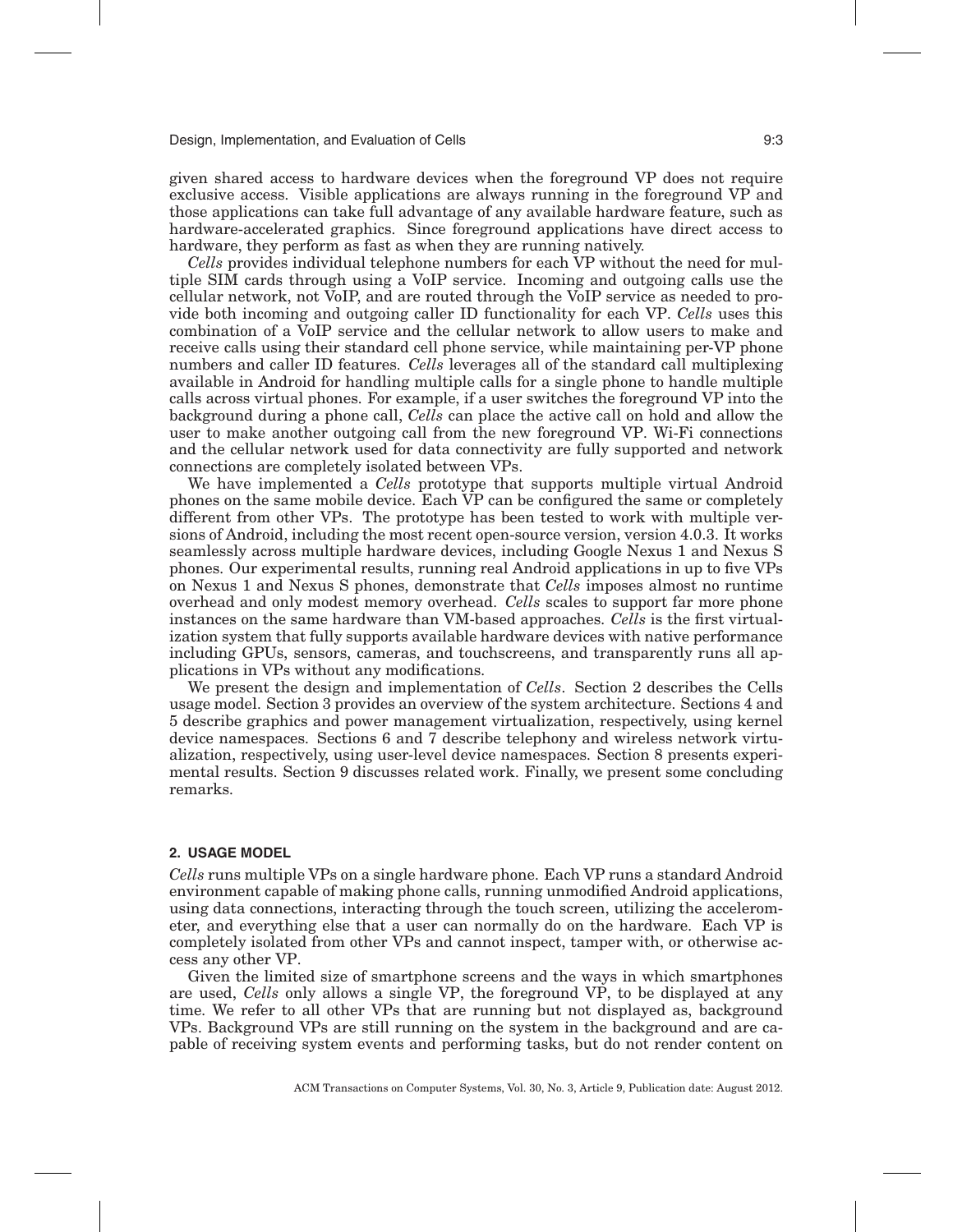given shared access to hardware devices when the foreground VP does not require exclusive access. Visible applications are always running in the foreground VP and those applications can take full advantage of any available hardware feature, such as hardware-accelerated graphics. Since foreground applications have direct access to hardware, they perform as fast as when they are running natively.

*Cells* provides individual telephone numbers for each VP without the need for multiple SIM cards through using a VoIP service. Incoming and outgoing calls use the cellular network, not VoIP, and are routed through the VoIP service as needed to provide both incoming and outgoing caller ID functionality for each VP. *Cells* uses this combination of a VoIP service and the cellular network to allow users to make and receive calls using their standard cell phone service, while maintaining per-VP phone numbers and caller ID features. *Cells* leverages all of the standard call multiplexing available in Android for handling multiple calls for a single phone to handle multiple calls across virtual phones. For example, if a user switches the foreground VP into the background during a phone call, *Cells* can place the active call on hold and allow the user to make another outgoing call from the new foreground VP. Wi-Fi connections and the cellular network used for data connectivity are fully supported and network connections are completely isolated between VPs.

We have implemented a *Cells* prototype that supports multiple virtual Android phones on the same mobile device. Each VP can be configured the same or completely different from other VPs. The prototype has been tested to work with multiple versions of Android, including the most recent open-source version, version 4.0.3. It works seamlessly across multiple hardware devices, including Google Nexus 1 and Nexus S phones. Our experimental results, running real Android applications in up to five VPs on Nexus 1 and Nexus S phones, demonstrate that *Cells* imposes almost no runtime overhead and only modest memory overhead. *Cells* scales to support far more phone instances on the same hardware than VM-based approaches. *Cells* is the first virtualization system that fully supports available hardware devices with native performance including GPUs, sensors, cameras, and touchscreens, and transparently runs all applications in VPs without any modifications.

We present the design and implementation of *Cells*. Section 2 describes the Cells usage model. Section 3 provides an overview of the system architecture. Sections 4 and 5 describe graphics and power management virtualization, respectively, using kernel device namespaces. Sections 6 and 7 describe telephony and wireless network virtualization, respectively, using user-level device namespaces. Section 8 presents experimental results. Section 9 discusses related work. Finally, we present some concluding remarks.

# **2. USAGE MODEL**

*Cells* runs multiple VPs on a single hardware phone. Each VP runs a standard Android environment capable of making phone calls, running unmodified Android applications, using data connections, interacting through the touch screen, utilizing the accelerometer, and everything else that a user can normally do on the hardware. Each VP is completely isolated from other VPs and cannot inspect, tamper with, or otherwise access any other VP.

Given the limited size of smartphone screens and the ways in which smartphones are used, *Cells* only allows a single VP, the foreground VP, to be displayed at any time. We refer to all other VPs that are running but not displayed as, background VPs. Background VPs are still running on the system in the background and are capable of receiving system events and performing tasks, but do not render content on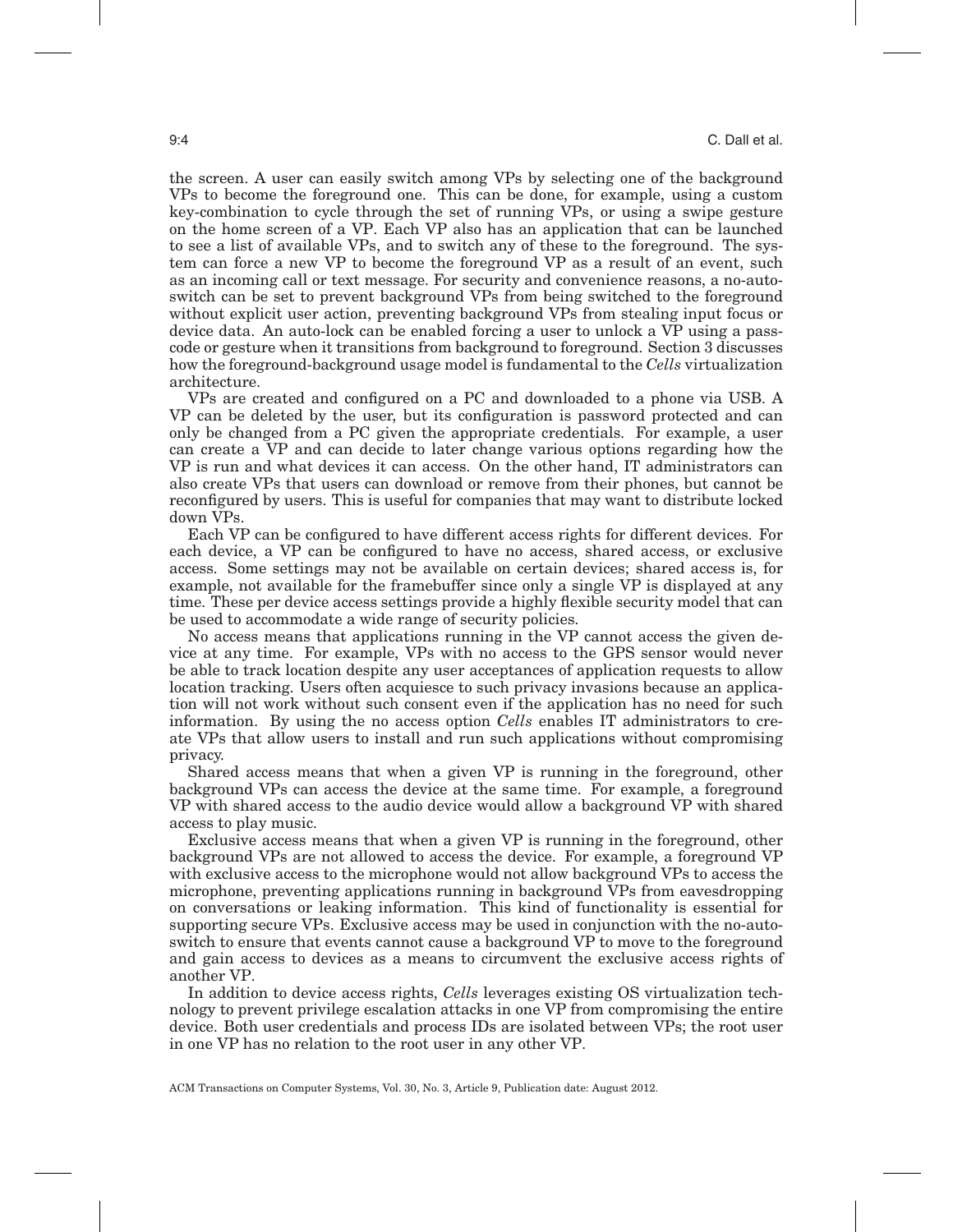the screen. A user can easily switch among VPs by selecting one of the background VPs to become the foreground one. This can be done, for example, using a custom key-combination to cycle through the set of running VPs, or using a swipe gesture on the home screen of a VP. Each VP also has an application that can be launched to see a list of available VPs, and to switch any of these to the foreground. The system can force a new VP to become the foreground VP as a result of an event, such as an incoming call or text message. For security and convenience reasons, a no-autoswitch can be set to prevent background VPs from being switched to the foreground without explicit user action, preventing background VPs from stealing input focus or device data. An auto-lock can be enabled forcing a user to unlock a VP using a passcode or gesture when it transitions from background to foreground. Section 3 discusses how the foreground-background usage model is fundamental to the *Cells* virtualization architecture.

VPs are created and configured on a PC and downloaded to a phone via USB. A VP can be deleted by the user, but its configuration is password protected and can only be changed from a PC given the appropriate credentials. For example, a user can create a VP and can decide to later change various options regarding how the VP is run and what devices it can access. On the other hand, IT administrators can also create VPs that users can download or remove from their phones, but cannot be reconfigured by users. This is useful for companies that may want to distribute locked down VPs.

Each VP can be configured to have different access rights for different devices. For each device, a VP can be configured to have no access, shared access, or exclusive access. Some settings may not be available on certain devices; shared access is, for example, not available for the framebuffer since only a single VP is displayed at any time. These per device access settings provide a highly flexible security model that can be used to accommodate a wide range of security policies.

No access means that applications running in the VP cannot access the given device at any time. For example, VPs with no access to the GPS sensor would never be able to track location despite any user acceptances of application requests to allow location tracking. Users often acquiesce to such privacy invasions because an application will not work without such consent even if the application has no need for such information. By using the no access option *Cells* enables IT administrators to create VPs that allow users to install and run such applications without compromising privacy.

Shared access means that when a given VP is running in the foreground, other background VPs can access the device at the same time. For example, a foreground VP with shared access to the audio device would allow a background VP with shared access to play music.

Exclusive access means that when a given VP is running in the foreground, other background VPs are not allowed to access the device. For example, a foreground VP with exclusive access to the microphone would not allow background VPs to access the microphone, preventing applications running in background VPs from eavesdropping on conversations or leaking information. This kind of functionality is essential for supporting secure VPs. Exclusive access may be used in conjunction with the no-autoswitch to ensure that events cannot cause a background VP to move to the foreground and gain access to devices as a means to circumvent the exclusive access rights of another VP.

In addition to device access rights, *Cells* leverages existing OS virtualization technology to prevent privilege escalation attacks in one VP from compromising the entire device. Both user credentials and process IDs are isolated between VPs; the root user in one VP has no relation to the root user in any other VP.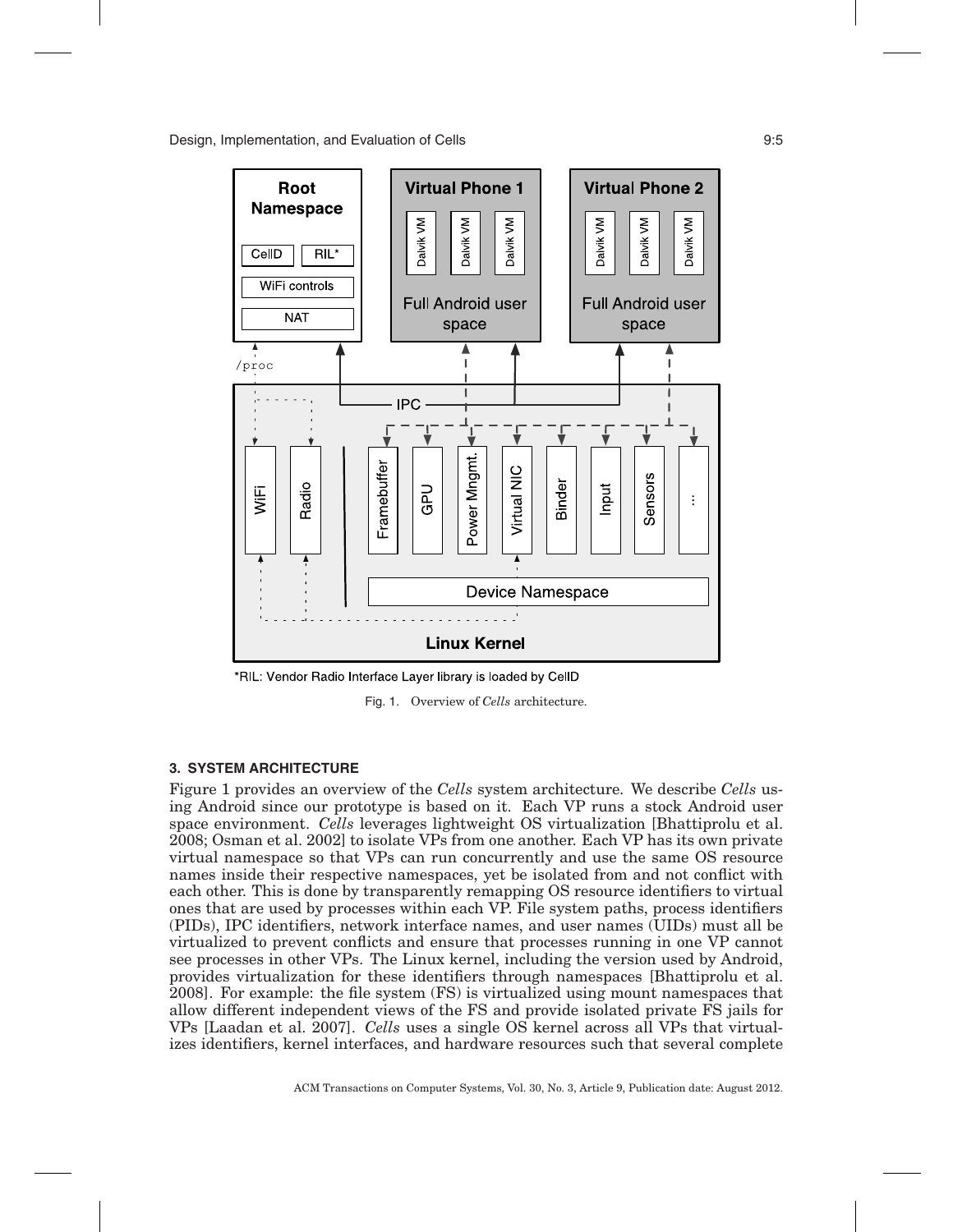

\*RIL: Vendor Radio Interface Layer library is loaded by CellD

Fig. 1. Overview of *Cells* architecture.

# **3. SYSTEM ARCHITECTURE**

Figure 1 provides an overview of the *Cells* system architecture. We describe *Cells* using Android since our prototype is based on it. Each VP runs a stock Android user space environment. *Cells* leverages lightweight OS virtualization [Bhattiprolu et al. 2008; Osman et al. 2002] to isolate VPs from one another. Each VP has its own private virtual namespace so that VPs can run concurrently and use the same OS resource names inside their respective namespaces, yet be isolated from and not conflict with each other. This is done by transparently remapping OS resource identifiers to virtual ones that are used by processes within each VP. File system paths, process identifiers (PIDs), IPC identifiers, network interface names, and user names (UIDs) must all be virtualized to prevent conflicts and ensure that processes running in one VP cannot see processes in other VPs. The Linux kernel, including the version used by Android, provides virtualization for these identifiers through namespaces [Bhattiprolu et al. 2008]. For example: the file system (FS) is virtualized using mount namespaces that allow different independent views of the FS and provide isolated private FS jails for VPs [Laadan et al. 2007]. *Cells* uses a single OS kernel across all VPs that virtualizes identifiers, kernel interfaces, and hardware resources such that several complete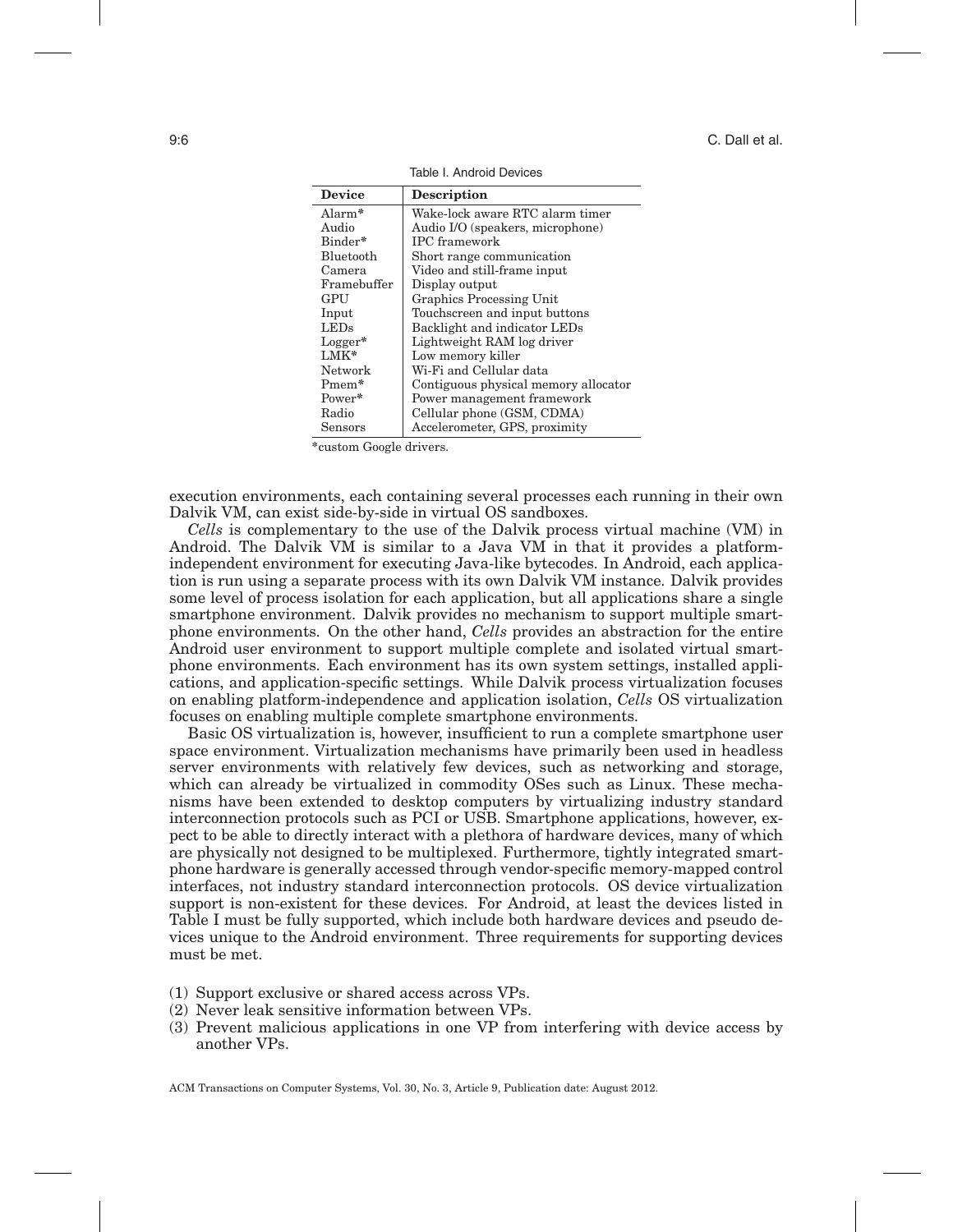9:6 C. Dall et al.

| <b>Device</b> | <b>Description</b>                   |  |
|---------------|--------------------------------------|--|
| Alarm $*$     | Wake-lock aware RTC alarm timer      |  |
| Audio         | Audio I/O (speakers, microphone)     |  |
| Binder*       | <b>IPC</b> framework                 |  |
| Bluetooth     | Short range communication            |  |
| Camera        | Video and still-frame input          |  |
| Framebuffer   | Display output                       |  |
| GPU           | Graphics Processing Unit             |  |
| Input         | Touchscreen and input buttons        |  |
| <b>LEDs</b>   | Backlight and indicator LEDs         |  |
| $Logger*$     | Lightweight RAM log driver           |  |
| $LMK*$        | Low memory killer                    |  |
| Network       | Wi-Fi and Cellular data              |  |
| Pmem*         | Contiguous physical memory allocator |  |
| Power*        | Power management framework           |  |
| Radio         | Cellular phone (GSM, CDMA)           |  |
| Sensors       | Accelerometer, GPS, proximity        |  |

Table I. Android Devices

**\***custom Google drivers.

execution environments, each containing several processes each running in their own Dalvik VM, can exist side-by-side in virtual OS sandboxes.

*Cells* is complementary to the use of the Dalvik process virtual machine (VM) in Android. The Dalvik VM is similar to a Java VM in that it provides a platformindependent environment for executing Java-like bytecodes. In Android, each application is run using a separate process with its own Dalvik VM instance. Dalvik provides some level of process isolation for each application, but all applications share a single smartphone environment. Dalvik provides no mechanism to support multiple smartphone environments. On the other hand, *Cells* provides an abstraction for the entire Android user environment to support multiple complete and isolated virtual smartphone environments. Each environment has its own system settings, installed applications, and application-specific settings. While Dalvik process virtualization focuses on enabling platform-independence and application isolation, *Cells* OS virtualization focuses on enabling multiple complete smartphone environments.

Basic OS virtualization is, however, insufficient to run a complete smartphone user space environment. Virtualization mechanisms have primarily been used in headless server environments with relatively few devices, such as networking and storage, which can already be virtualized in commodity OSes such as Linux. These mechanisms have been extended to desktop computers by virtualizing industry standard interconnection protocols such as PCI or USB. Smartphone applications, however, expect to be able to directly interact with a plethora of hardware devices, many of which are physically not designed to be multiplexed. Furthermore, tightly integrated smartphone hardware is generally accessed through vendor-specific memory-mapped control interfaces, not industry standard interconnection protocols. OS device virtualization support is non-existent for these devices. For Android, at least the devices listed in Table I must be fully supported, which include both hardware devices and pseudo devices unique to the Android environment. Three requirements for supporting devices must be met.

- (1) Support exclusive or shared access across VPs.
- (2) Never leak sensitive information between VPs.
- (3) Prevent malicious applications in one VP from interfering with device access by another VPs.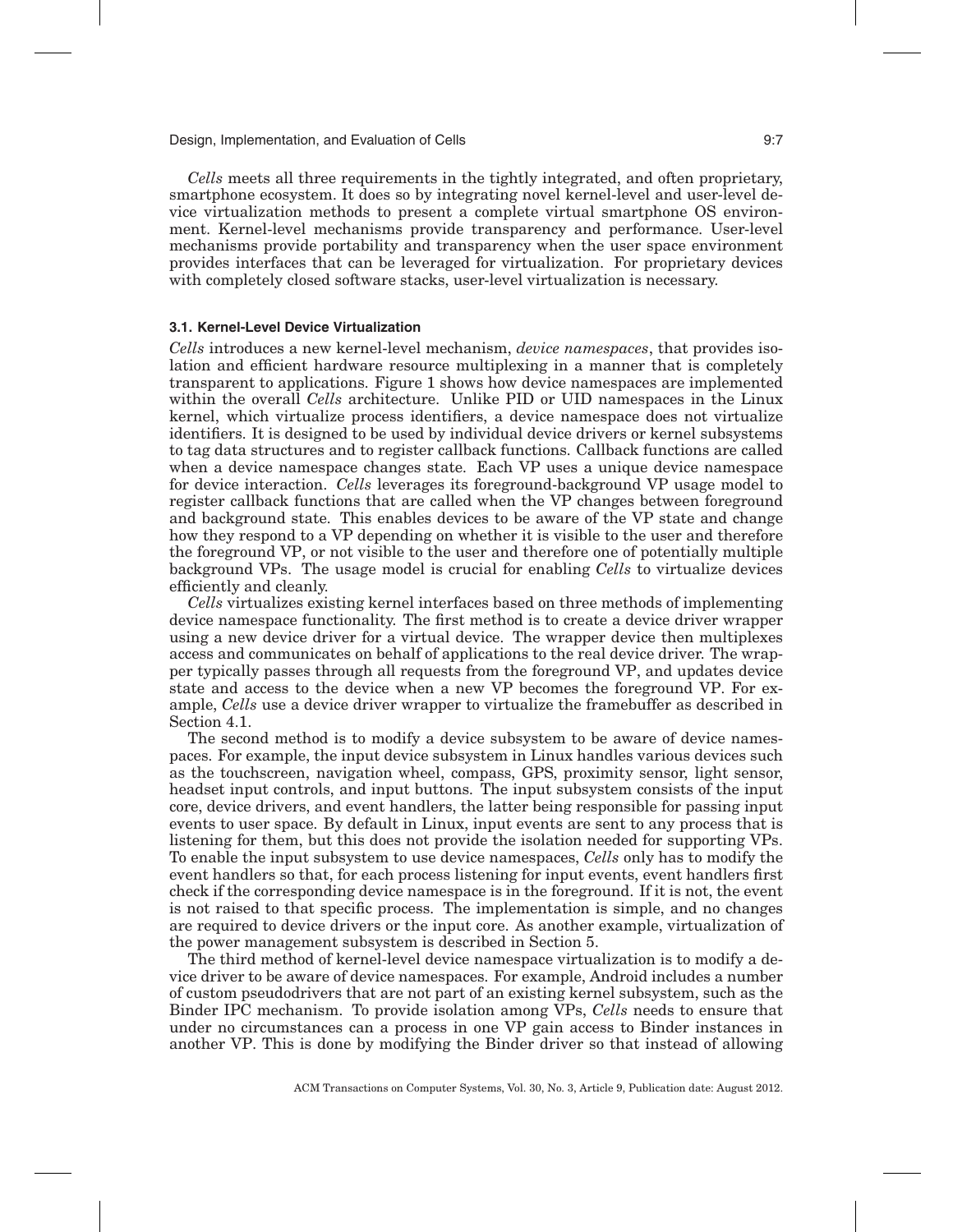*Cells* meets all three requirements in the tightly integrated, and often proprietary, smartphone ecosystem. It does so by integrating novel kernel-level and user-level device virtualization methods to present a complete virtual smartphone OS environment. Kernel-level mechanisms provide transparency and performance. User-level mechanisms provide portability and transparency when the user space environment provides interfaces that can be leveraged for virtualization. For proprietary devices with completely closed software stacks, user-level virtualization is necessary.

#### **3.1. Kernel-Level Device Virtualization**

*Cells* introduces a new kernel-level mechanism, *device namespaces*, that provides isolation and efficient hardware resource multiplexing in a manner that is completely transparent to applications. Figure 1 shows how device namespaces are implemented within the overall *Cells* architecture. Unlike PID or UID namespaces in the Linux kernel, which virtualize process identifiers, a device namespace does not virtualize identifiers. It is designed to be used by individual device drivers or kernel subsystems to tag data structures and to register callback functions. Callback functions are called when a device namespace changes state. Each VP uses a unique device namespace for device interaction. *Cells* leverages its foreground-background VP usage model to register callback functions that are called when the VP changes between foreground and background state. This enables devices to be aware of the VP state and change how they respond to a VP depending on whether it is visible to the user and therefore the foreground VP, or not visible to the user and therefore one of potentially multiple background VPs. The usage model is crucial for enabling *Cells* to virtualize devices efficiently and cleanly.

*Cells* virtualizes existing kernel interfaces based on three methods of implementing device namespace functionality. The first method is to create a device driver wrapper using a new device driver for a virtual device. The wrapper device then multiplexes access and communicates on behalf of applications to the real device driver. The wrapper typically passes through all requests from the foreground VP, and updates device state and access to the device when a new VP becomes the foreground VP. For example, *Cells* use a device driver wrapper to virtualize the framebuffer as described in Section 4.1.

The second method is to modify a device subsystem to be aware of device namespaces. For example, the input device subsystem in Linux handles various devices such as the touchscreen, navigation wheel, compass, GPS, proximity sensor, light sensor, headset input controls, and input buttons. The input subsystem consists of the input core, device drivers, and event handlers, the latter being responsible for passing input events to user space. By default in Linux, input events are sent to any process that is listening for them, but this does not provide the isolation needed for supporting VPs. To enable the input subsystem to use device namespaces, *Cells* only has to modify the event handlers so that, for each process listening for input events, event handlers first check if the corresponding device namespace is in the foreground. If it is not, the event is not raised to that specific process. The implementation is simple, and no changes are required to device drivers or the input core. As another example, virtualization of the power management subsystem is described in Section 5.

The third method of kernel-level device namespace virtualization is to modify a device driver to be aware of device namespaces. For example, Android includes a number of custom pseudodrivers that are not part of an existing kernel subsystem, such as the Binder IPC mechanism. To provide isolation among VPs, *Cells* needs to ensure that under no circumstances can a process in one VP gain access to Binder instances in another VP. This is done by modifying the Binder driver so that instead of allowing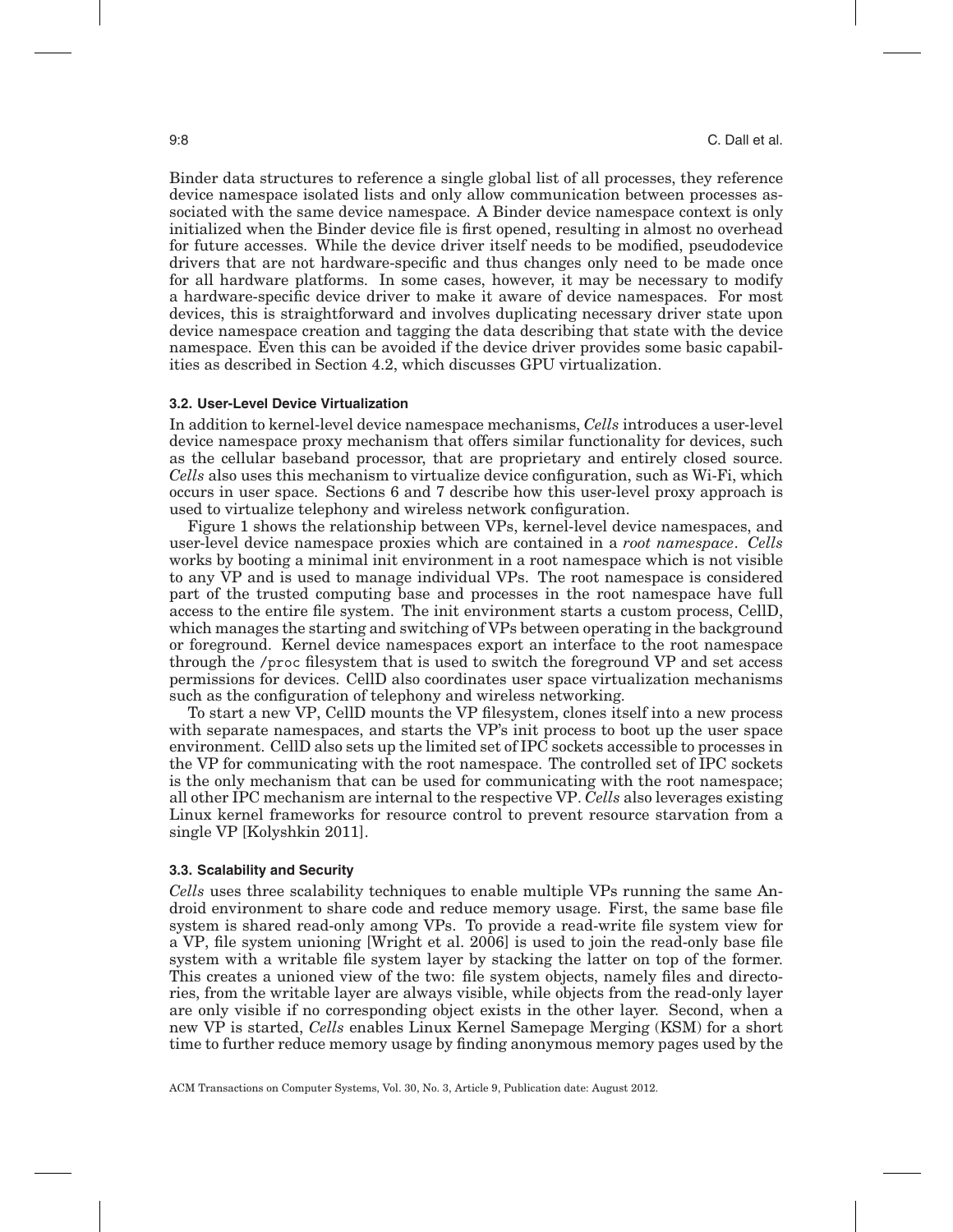Binder data structures to reference a single global list of all processes, they reference device namespace isolated lists and only allow communication between processes associated with the same device namespace. A Binder device namespace context is only initialized when the Binder device file is first opened, resulting in almost no overhead for future accesses. While the device driver itself needs to be modified, pseudodevice drivers that are not hardware-specific and thus changes only need to be made once for all hardware platforms. In some cases, however, it may be necessary to modify a hardware-specific device driver to make it aware of device namespaces. For most devices, this is straightforward and involves duplicating necessary driver state upon device namespace creation and tagging the data describing that state with the device namespace. Even this can be avoided if the device driver provides some basic capabilities as described in Section 4.2, which discusses GPU virtualization.

# **3.2. User-Level Device Virtualization**

In addition to kernel-level device namespace mechanisms, *Cells* introduces a user-level device namespace proxy mechanism that offers similar functionality for devices, such as the cellular baseband processor, that are proprietary and entirely closed source. *Cells* also uses this mechanism to virtualize device configuration, such as Wi-Fi, which occurs in user space. Sections 6 and 7 describe how this user-level proxy approach is used to virtualize telephony and wireless network configuration.

Figure 1 shows the relationship between VPs, kernel-level device namespaces, and user-level device namespace proxies which are contained in a *root namespace*. *Cells* works by booting a minimal init environment in a root namespace which is not visible to any VP and is used to manage individual VPs. The root namespace is considered part of the trusted computing base and processes in the root namespace have full access to the entire file system. The init environment starts a custom process, CellD, which manages the starting and switching of VPs between operating in the background or foreground. Kernel device namespaces export an interface to the root namespace through the /proc filesystem that is used to switch the foreground VP and set access permissions for devices. CellD also coordinates user space virtualization mechanisms such as the configuration of telephony and wireless networking.

To start a new VP, CellD mounts the VP filesystem, clones itself into a new process with separate namespaces, and starts the VP's init process to boot up the user space environment. CellD also sets up the limited set of IPC sockets accessible to processes in the VP for communicating with the root namespace. The controlled set of IPC sockets is the only mechanism that can be used for communicating with the root namespace; all other IPC mechanism are internal to the respective VP. *Cells* also leverages existing Linux kernel frameworks for resource control to prevent resource starvation from a single VP [Kolyshkin 2011].

# **3.3. Scalability and Security**

*Cells* uses three scalability techniques to enable multiple VPs running the same Android environment to share code and reduce memory usage. First, the same base file system is shared read-only among VPs. To provide a read-write file system view for a VP, file system unioning [Wright et al. 2006] is used to join the read-only base file system with a writable file system layer by stacking the latter on top of the former. This creates a unioned view of the two: file system objects, namely files and directories, from the writable layer are always visible, while objects from the read-only layer are only visible if no corresponding object exists in the other layer. Second, when a new VP is started, *Cells* enables Linux Kernel Samepage Merging (KSM) for a short time to further reduce memory usage by finding anonymous memory pages used by the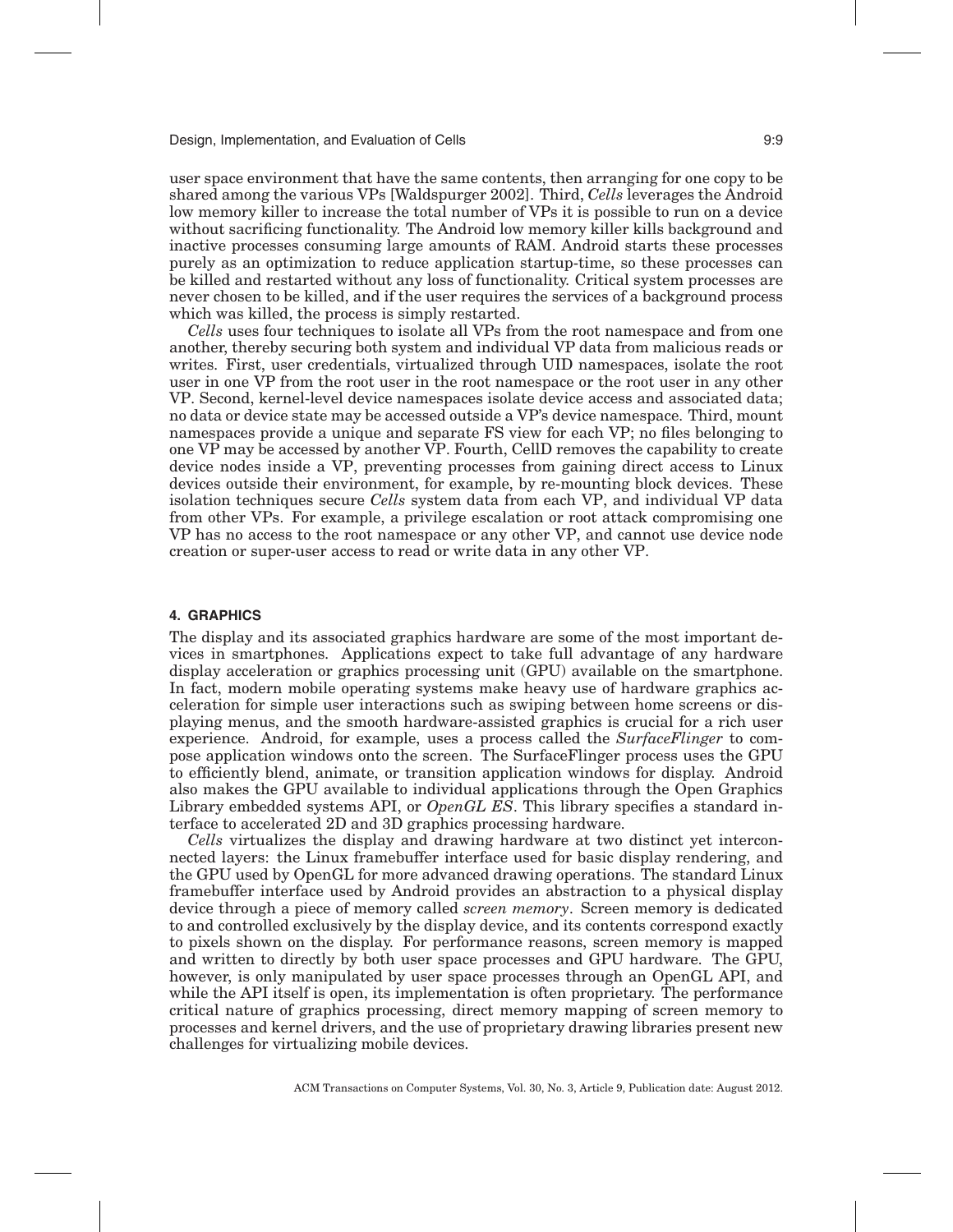user space environment that have the same contents, then arranging for one copy to be shared among the various VPs [Waldspurger 2002]. Third, *Cells* leverages the Android low memory killer to increase the total number of VPs it is possible to run on a device without sacrificing functionality. The Android low memory killer kills background and inactive processes consuming large amounts of RAM. Android starts these processes purely as an optimization to reduce application startup-time, so these processes can be killed and restarted without any loss of functionality. Critical system processes are never chosen to be killed, and if the user requires the services of a background process which was killed, the process is simply restarted.

*Cells* uses four techniques to isolate all VPs from the root namespace and from one another, thereby securing both system and individual VP data from malicious reads or writes. First, user credentials, virtualized through UID namespaces, isolate the root user in one VP from the root user in the root namespace or the root user in any other VP. Second, kernel-level device namespaces isolate device access and associated data; no data or device state may be accessed outside a VP's device namespace. Third, mount namespaces provide a unique and separate FS view for each VP; no files belonging to one VP may be accessed by another VP. Fourth, CellD removes the capability to create device nodes inside a VP, preventing processes from gaining direct access to Linux devices outside their environment, for example, by re-mounting block devices. These isolation techniques secure *Cells* system data from each VP, and individual VP data from other VPs. For example, a privilege escalation or root attack compromising one VP has no access to the root namespace or any other VP, and cannot use device node creation or super-user access to read or write data in any other VP.

# **4. GRAPHICS**

The display and its associated graphics hardware are some of the most important devices in smartphones. Applications expect to take full advantage of any hardware display acceleration or graphics processing unit (GPU) available on the smartphone. In fact, modern mobile operating systems make heavy use of hardware graphics acceleration for simple user interactions such as swiping between home screens or displaying menus, and the smooth hardware-assisted graphics is crucial for a rich user experience. Android, for example, uses a process called the *SurfaceFlinger* to compose application windows onto the screen. The SurfaceFlinger process uses the GPU to efficiently blend, animate, or transition application windows for display. Android also makes the GPU available to individual applications through the Open Graphics Library embedded systems API, or *OpenGL ES*. This library specifies a standard interface to accelerated 2D and 3D graphics processing hardware.

*Cells* virtualizes the display and drawing hardware at two distinct yet interconnected layers: the Linux framebuffer interface used for basic display rendering, and the GPU used by OpenGL for more advanced drawing operations. The standard Linux framebuffer interface used by Android provides an abstraction to a physical display device through a piece of memory called *screen memory*. Screen memory is dedicated to and controlled exclusively by the display device, and its contents correspond exactly to pixels shown on the display. For performance reasons, screen memory is mapped and written to directly by both user space processes and GPU hardware. The GPU, however, is only manipulated by user space processes through an OpenGL API, and while the API itself is open, its implementation is often proprietary. The performance critical nature of graphics processing, direct memory mapping of screen memory to processes and kernel drivers, and the use of proprietary drawing libraries present new challenges for virtualizing mobile devices.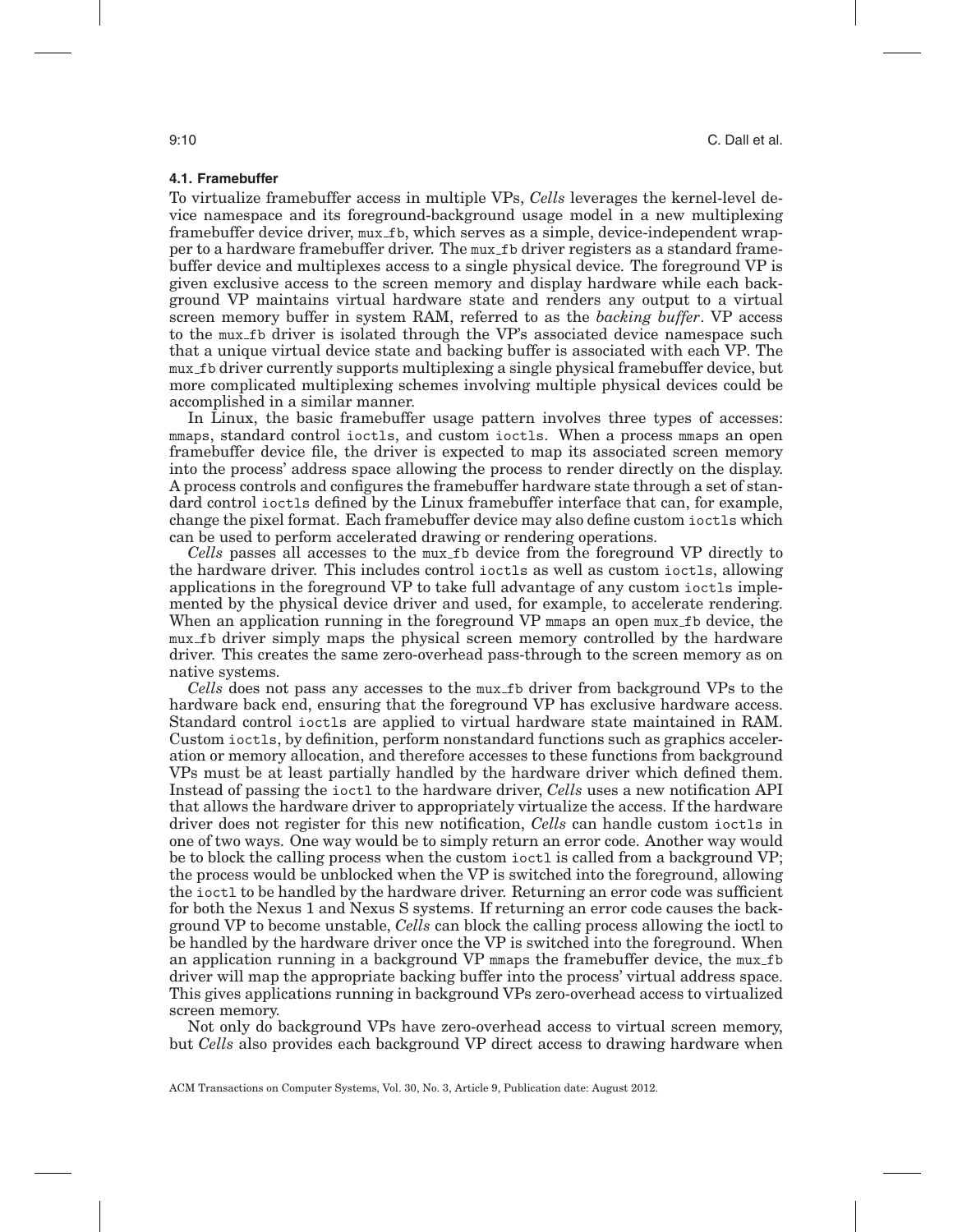# **4.1. Framebuffer**

To virtualize framebuffer access in multiple VPs, *Cells* leverages the kernel-level device namespace and its foreground-background usage model in a new multiplexing framebuffer device driver, mux fb, which serves as a simple, device-independent wrapper to a hardware framebuffer driver. The mux fb driver registers as a standard framebuffer device and multiplexes access to a single physical device. The foreground VP is given exclusive access to the screen memory and display hardware while each background VP maintains virtual hardware state and renders any output to a virtual screen memory buffer in system RAM, referred to as the *backing buffer*. VP access to the mux fb driver is isolated through the VP's associated device namespace such that a unique virtual device state and backing buffer is associated with each VP. The mux fb driver currently supports multiplexing a single physical framebuffer device, but more complicated multiplexing schemes involving multiple physical devices could be accomplished in a similar manner.

In Linux, the basic framebuffer usage pattern involves three types of accesses: mmaps, standard control ioctls, and custom ioctls. When a process mmaps an open framebuffer device file, the driver is expected to map its associated screen memory into the process' address space allowing the process to render directly on the display. A process controls and configures the framebuffer hardware state through a set of standard control ioctls defined by the Linux framebuffer interface that can, for example, change the pixel format. Each framebuffer device may also define custom ioctls which can be used to perform accelerated drawing or rendering operations.

*Cells* passes all accesses to the mux fb device from the foreground VP directly to the hardware driver. This includes control ioctls as well as custom ioctls, allowing applications in the foreground VP to take full advantage of any custom ioctls implemented by the physical device driver and used, for example, to accelerate rendering. When an application running in the foreground VP mmaps an open mux fb device, the mux fb driver simply maps the physical screen memory controlled by the hardware driver. This creates the same zero-overhead pass-through to the screen memory as on native systems.

*Cells* does not pass any accesses to the mux fb driver from background VPs to the hardware back end, ensuring that the foreground VP has exclusive hardware access. Standard control ioctls are applied to virtual hardware state maintained in RAM. Custom ioctls, by definition, perform nonstandard functions such as graphics acceleration or memory allocation, and therefore accesses to these functions from background VPs must be at least partially handled by the hardware driver which defined them. Instead of passing the ioctl to the hardware driver, *Cells* uses a new notification API that allows the hardware driver to appropriately virtualize the access. If the hardware driver does not register for this new notification, *Cells* can handle custom ioctls in one of two ways. One way would be to simply return an error code. Another way would be to block the calling process when the custom ioctl is called from a background VP; the process would be unblocked when the VP is switched into the foreground, allowing the ioctl to be handled by the hardware driver. Returning an error code was sufficient for both the Nexus 1 and Nexus S systems. If returning an error code causes the background VP to become unstable, *Cells* can block the calling process allowing the ioctl to be handled by the hardware driver once the VP is switched into the foreground. When an application running in a background VP mmaps the framebuffer device, the mux  $f$ b driver will map the appropriate backing buffer into the process' virtual address space. This gives applications running in background VPs zero-overhead access to virtualized screen memory.

Not only do background VPs have zero-overhead access to virtual screen memory, but *Cells* also provides each background VP direct access to drawing hardware when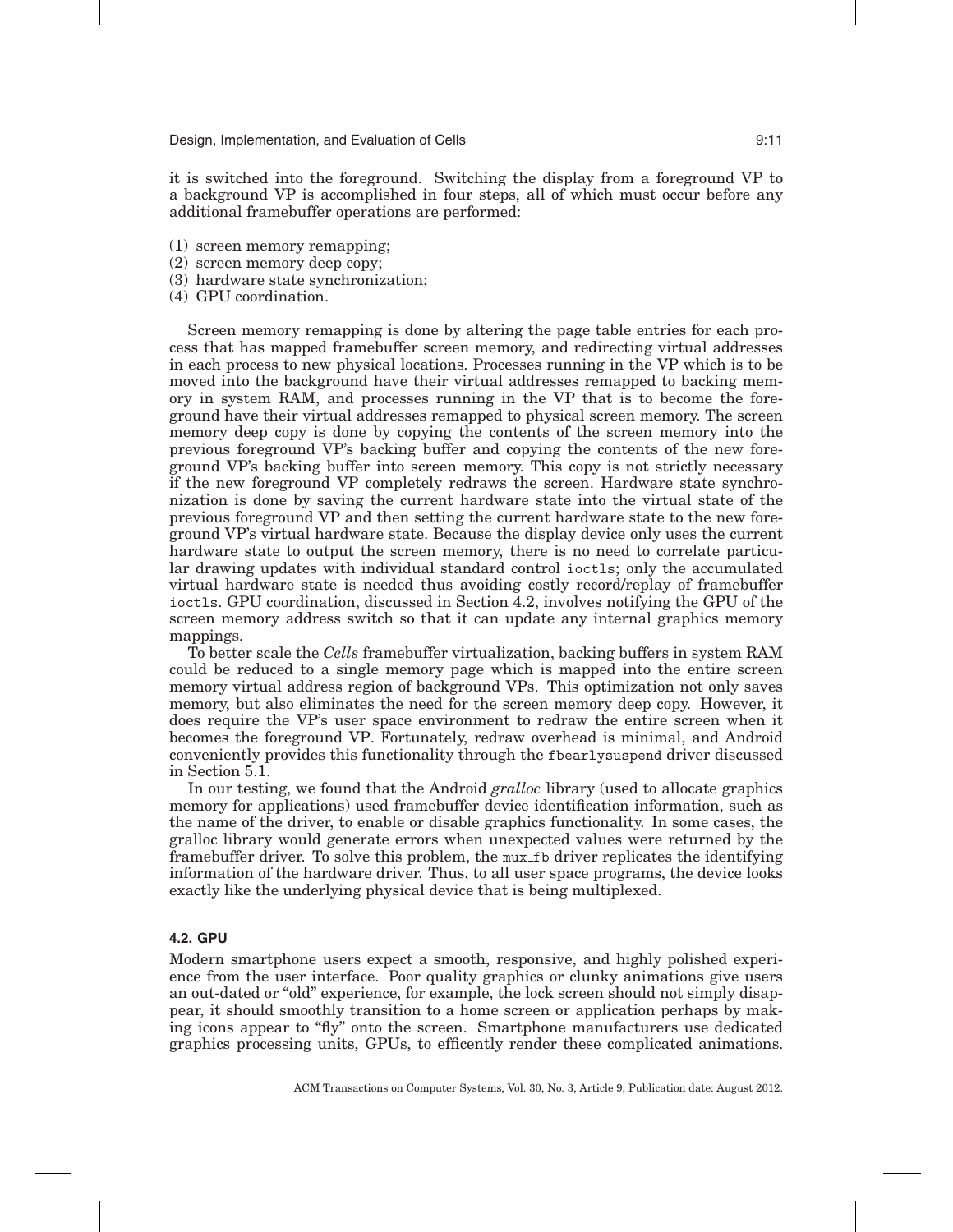it is switched into the foreground. Switching the display from a foreground VP to a background VP is accomplished in four steps, all of which must occur before any additional framebuffer operations are performed:

- (1) screen memory remapping;
- (2) screen memory deep copy;
- (3) hardware state synchronization;
- (4) GPU coordination.

Screen memory remapping is done by altering the page table entries for each process that has mapped framebuffer screen memory, and redirecting virtual addresses in each process to new physical locations. Processes running in the VP which is to be moved into the background have their virtual addresses remapped to backing memory in system RAM, and processes running in the VP that is to become the foreground have their virtual addresses remapped to physical screen memory. The screen memory deep copy is done by copying the contents of the screen memory into the previous foreground VP's backing buffer and copying the contents of the new foreground VP's backing buffer into screen memory. This copy is not strictly necessary if the new foreground VP completely redraws the screen. Hardware state synchronization is done by saving the current hardware state into the virtual state of the previous foreground VP and then setting the current hardware state to the new foreground VP's virtual hardware state. Because the display device only uses the current hardware state to output the screen memory, there is no need to correlate particular drawing updates with individual standard control ioctls; only the accumulated virtual hardware state is needed thus avoiding costly record/replay of framebuffer ioctls. GPU coordination, discussed in Section 4.2, involves notifying the GPU of the screen memory address switch so that it can update any internal graphics memory mappings.

To better scale the *Cells* framebuffer virtualization, backing buffers in system RAM could be reduced to a single memory page which is mapped into the entire screen memory virtual address region of background VPs. This optimization not only saves memory, but also eliminates the need for the screen memory deep copy. However, it does require the VP's user space environment to redraw the entire screen when it becomes the foreground VP. Fortunately, redraw overhead is minimal, and Android conveniently provides this functionality through the fbearlysuspend driver discussed in Section 5.1.

In our testing, we found that the Android *gralloc* library (used to allocate graphics memory for applications) used framebuffer device identification information, such as the name of the driver, to enable or disable graphics functionality. In some cases, the gralloc library would generate errors when unexpected values were returned by the framebuffer driver. To solve this problem, the mux fb driver replicates the identifying information of the hardware driver. Thus, to all user space programs, the device looks exactly like the underlying physical device that is being multiplexed.

## **4.2. GPU**

Modern smartphone users expect a smooth, responsive, and highly polished experience from the user interface. Poor quality graphics or clunky animations give users an out-dated or "old" experience, for example, the lock screen should not simply disappear, it should smoothly transition to a home screen or application perhaps by making icons appear to "fly" onto the screen. Smartphone manufacturers use dedicated graphics processing units, GPUs, to efficently render these complicated animations.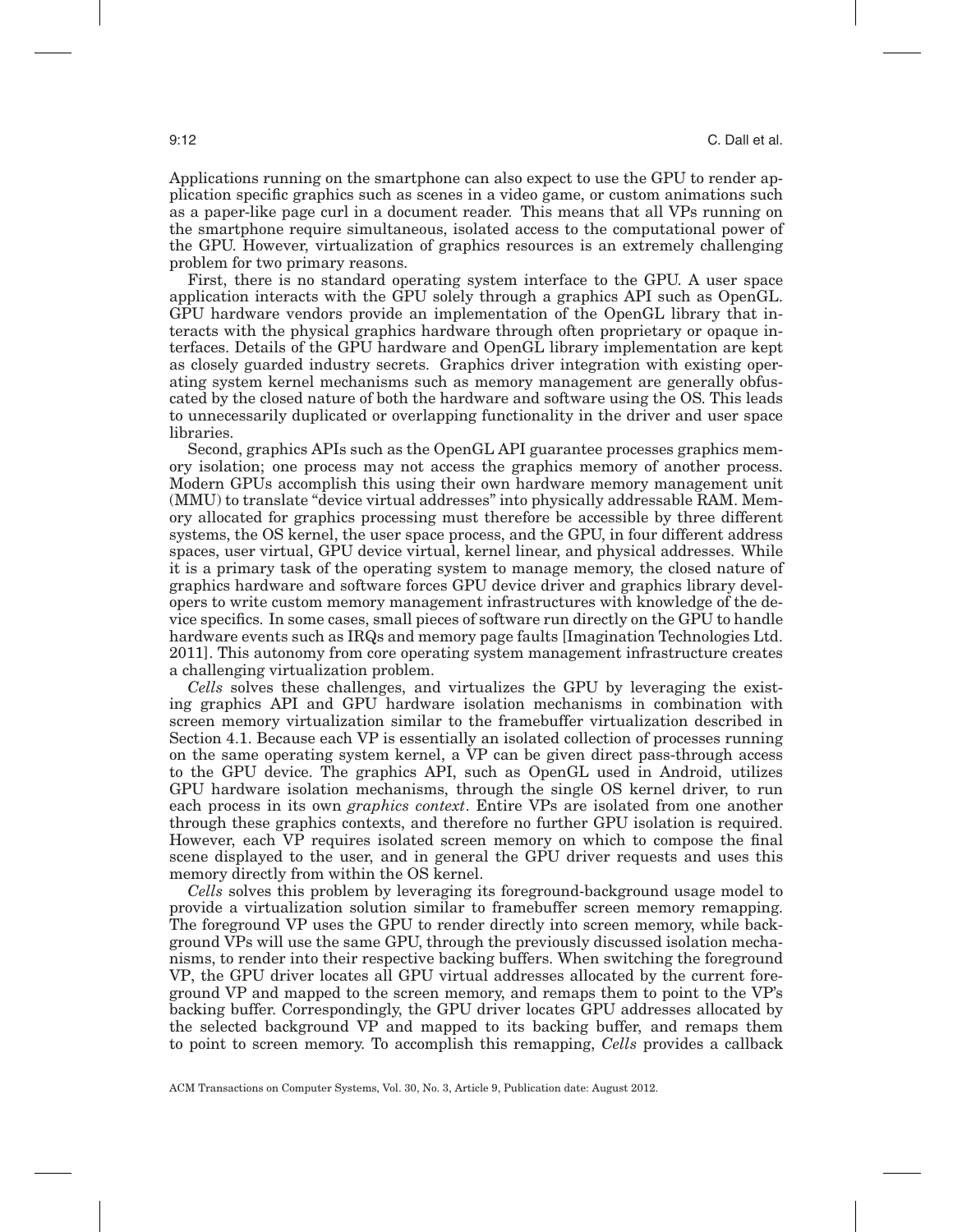Applications running on the smartphone can also expect to use the GPU to render application specific graphics such as scenes in a video game, or custom animations such as a paper-like page curl in a document reader. This means that all VPs running on the smartphone require simultaneous, isolated access to the computational power of the GPU. However, virtualization of graphics resources is an extremely challenging problem for two primary reasons.

First, there is no standard operating system interface to the GPU. A user space application interacts with the GPU solely through a graphics API such as OpenGL. GPU hardware vendors provide an implementation of the OpenGL library that interacts with the physical graphics hardware through often proprietary or opaque interfaces. Details of the GPU hardware and OpenGL library implementation are kept as closely guarded industry secrets. Graphics driver integration with existing operating system kernel mechanisms such as memory management are generally obfuscated by the closed nature of both the hardware and software using the OS. This leads to unnecessarily duplicated or overlapping functionality in the driver and user space libraries.

Second, graphics APIs such as the OpenGL API guarantee processes graphics memory isolation; one process may not access the graphics memory of another process. Modern GPUs accomplish this using their own hardware memory management unit (MMU) to translate "device virtual addresses" into physically addressable RAM. Memory allocated for graphics processing must therefore be accessible by three different systems, the OS kernel, the user space process, and the GPU, in four different address spaces, user virtual, GPU device virtual, kernel linear, and physical addresses. While it is a primary task of the operating system to manage memory, the closed nature of graphics hardware and software forces GPU device driver and graphics library developers to write custom memory management infrastructures with knowledge of the device specifics. In some cases, small pieces of software run directly on the GPU to handle hardware events such as IRQs and memory page faults [Imagination Technologies Ltd. 2011]. This autonomy from core operating system management infrastructure creates a challenging virtualization problem.

*Cells* solves these challenges, and virtualizes the GPU by leveraging the existing graphics API and GPU hardware isolation mechanisms in combination with screen memory virtualization similar to the framebuffer virtualization described in Section 4.1. Because each VP is essentially an isolated collection of processes running on the same operating system kernel, a VP can be given direct pass-through access to the GPU device. The graphics API, such as OpenGL used in Android, utilizes GPU hardware isolation mechanisms, through the single OS kernel driver, to run each process in its own *graphics context*. Entire VPs are isolated from one another through these graphics contexts, and therefore no further GPU isolation is required. However, each VP requires isolated screen memory on which to compose the final scene displayed to the user, and in general the GPU driver requests and uses this memory directly from within the OS kernel.

*Cells* solves this problem by leveraging its foreground-background usage model to provide a virtualization solution similar to framebuffer screen memory remapping. The foreground VP uses the GPU to render directly into screen memory, while background VPs will use the same GPU, through the previously discussed isolation mechanisms, to render into their respective backing buffers. When switching the foreground VP, the GPU driver locates all GPU virtual addresses allocated by the current foreground VP and mapped to the screen memory, and remaps them to point to the VP's backing buffer. Correspondingly, the GPU driver locates GPU addresses allocated by the selected background VP and mapped to its backing buffer, and remaps them to point to screen memory. To accomplish this remapping, *Cells* provides a callback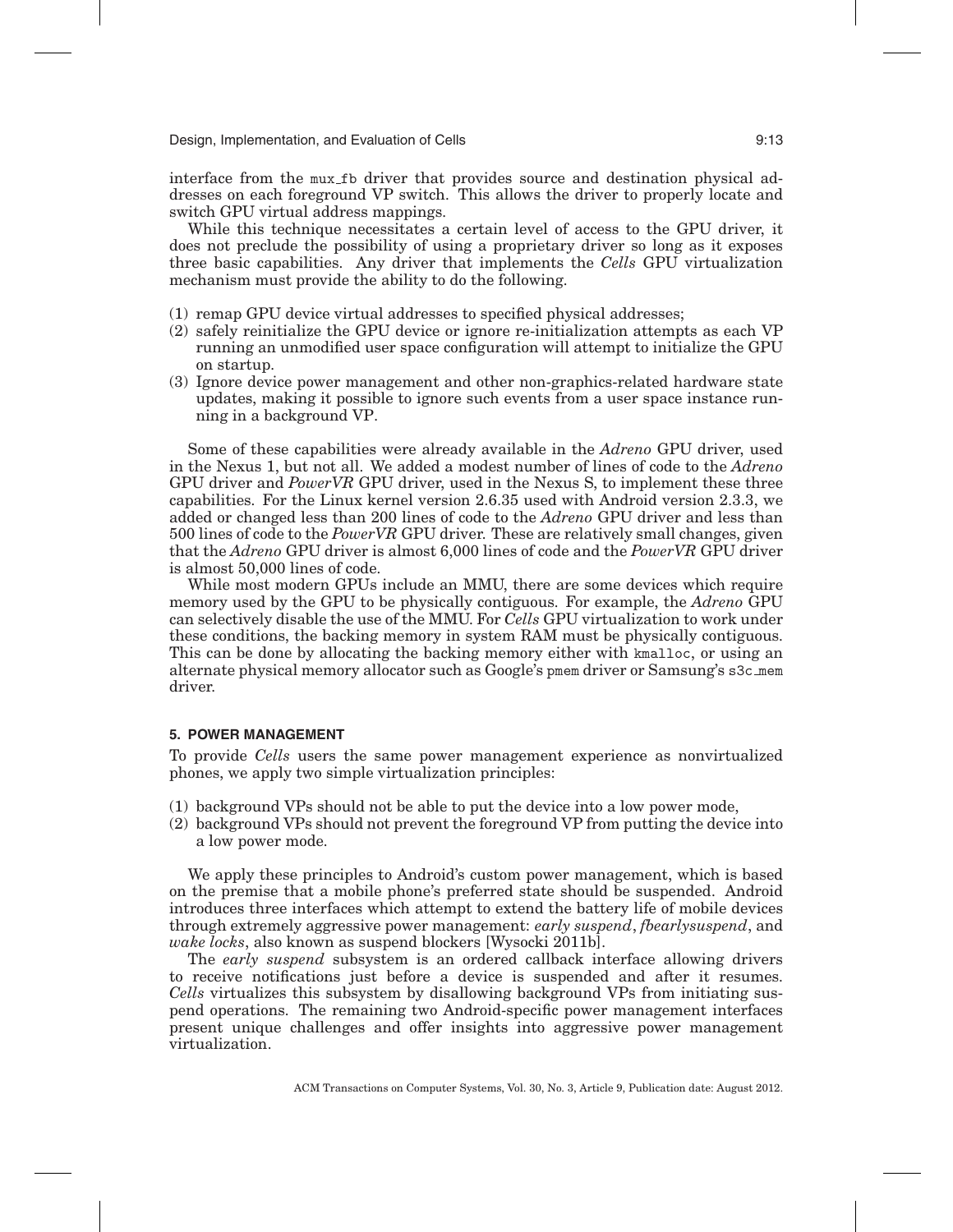interface from the mux fb driver that provides source and destination physical addresses on each foreground VP switch. This allows the driver to properly locate and switch GPU virtual address mappings.

While this technique necessitates a certain level of access to the GPU driver, it does not preclude the possibility of using a proprietary driver so long as it exposes three basic capabilities. Any driver that implements the *Cells* GPU virtualization mechanism must provide the ability to do the following.

- (1) remap GPU device virtual addresses to specified physical addresses;
- (2) safely reinitialize the GPU device or ignore re-initialization attempts as each VP running an unmodified user space configuration will attempt to initialize the GPU on startup.
- (3) Ignore device power management and other non-graphics-related hardware state updates, making it possible to ignore such events from a user space instance running in a background VP.

Some of these capabilities were already available in the *Adreno* GPU driver, used in the Nexus 1, but not all. We added a modest number of lines of code to the *Adreno* GPU driver and *PowerVR* GPU driver, used in the Nexus S, to implement these three capabilities. For the Linux kernel version 2.6.35 used with Android version 2.3.3, we added or changed less than 200 lines of code to the *Adreno* GPU driver and less than 500 lines of code to the *PowerVR* GPU driver. These are relatively small changes, given that the *Adreno* GPU driver is almost 6,000 lines of code and the *PowerVR* GPU driver is almost 50,000 lines of code.

While most modern GPUs include an MMU, there are some devices which require memory used by the GPU to be physically contiguous. For example, the *Adreno* GPU can selectively disable the use of the MMU. For *Cells* GPU virtualization to work under these conditions, the backing memory in system RAM must be physically contiguous. This can be done by allocating the backing memory either with kmalloc, or using an alternate physical memory allocator such as Google's pmem driver or Samsung's s3c mem driver.

## **5. POWER MANAGEMENT**

To provide *Cells* users the same power management experience as nonvirtualized phones, we apply two simple virtualization principles:

- (1) background VPs should not be able to put the device into a low power mode,
- (2) background VPs should not prevent the foreground VP from putting the device into a low power mode.

We apply these principles to Android's custom power management, which is based on the premise that a mobile phone's preferred state should be suspended. Android introduces three interfaces which attempt to extend the battery life of mobile devices through extremely aggressive power management: *early suspend*, *fbearlysuspend*, and *wake locks*, also known as suspend blockers [Wysocki 2011b].

The *early suspend* subsystem is an ordered callback interface allowing drivers to receive notifications just before a device is suspended and after it resumes. *Cells* virtualizes this subsystem by disallowing background VPs from initiating suspend operations. The remaining two Android-specific power management interfaces present unique challenges and offer insights into aggressive power management virtualization.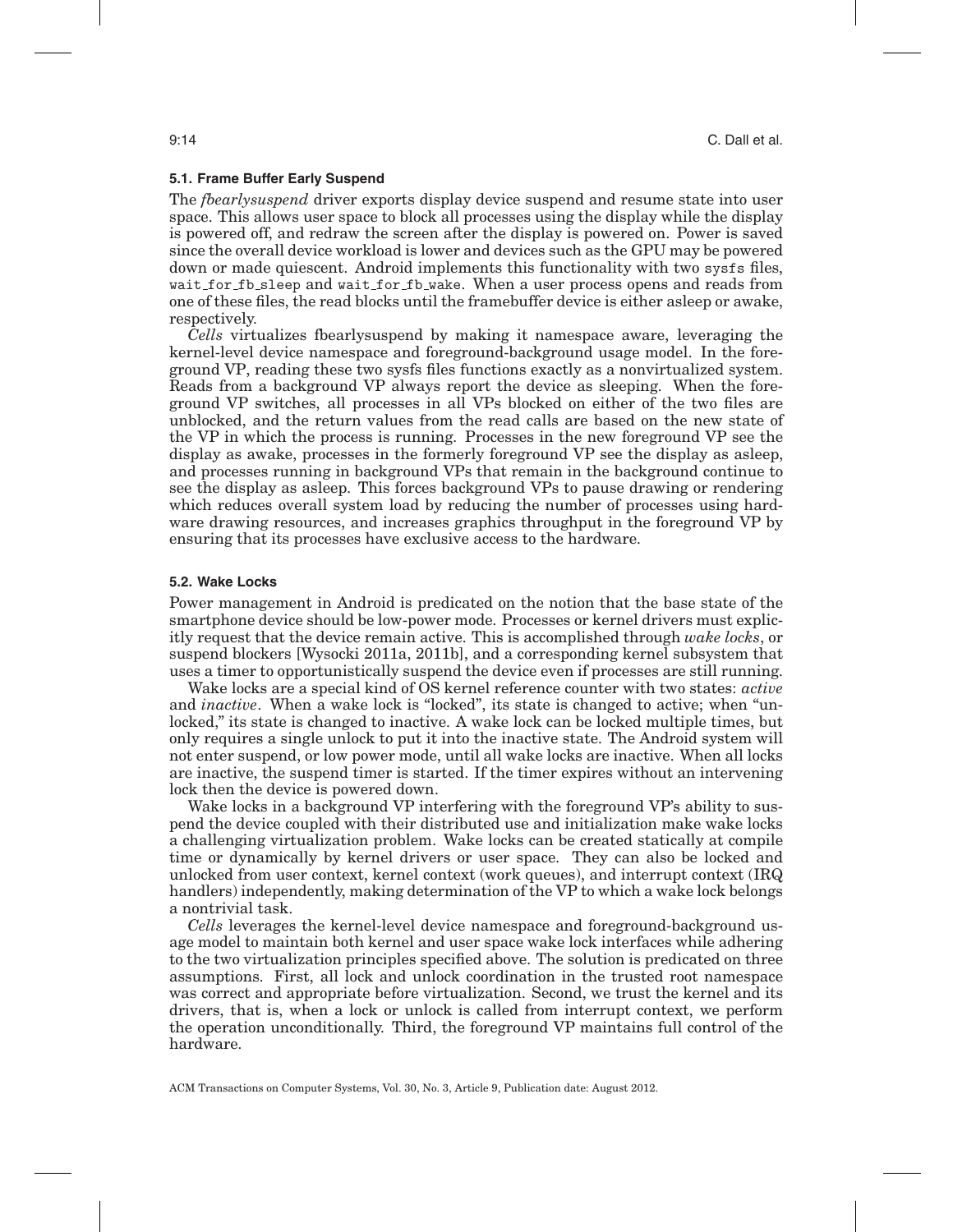### **5.1. Frame Buffer Early Suspend**

The *fbearlysuspend* driver exports display device suspend and resume state into user space. This allows user space to block all processes using the display while the display is powered off, and redraw the screen after the display is powered on. Power is saved since the overall device workload is lower and devices such as the GPU may be powered down or made quiescent. Android implements this functionality with two sysfs files, wait for fb sleep and wait for fb wake. When a user process opens and reads from one of these files, the read blocks until the framebuffer device is either asleep or awake, respectively.

*Cells* virtualizes fbearlysuspend by making it namespace aware, leveraging the kernel-level device namespace and foreground-background usage model. In the foreground VP, reading these two sysfs files functions exactly as a nonvirtualized system. Reads from a background VP always report the device as sleeping. When the foreground VP switches, all processes in all VPs blocked on either of the two files are unblocked, and the return values from the read calls are based on the new state of the VP in which the process is running. Processes in the new foreground VP see the display as awake, processes in the formerly foreground VP see the display as asleep, and processes running in background VPs that remain in the background continue to see the display as asleep. This forces background VPs to pause drawing or rendering which reduces overall system load by reducing the number of processes using hardware drawing resources, and increases graphics throughput in the foreground VP by ensuring that its processes have exclusive access to the hardware.

### **5.2. Wake Locks**

Power management in Android is predicated on the notion that the base state of the smartphone device should be low-power mode. Processes or kernel drivers must explicitly request that the device remain active. This is accomplished through *wake locks*, or suspend blockers [Wysocki 2011a, 2011b], and a corresponding kernel subsystem that uses a timer to opportunistically suspend the device even if processes are still running.

Wake locks are a special kind of OS kernel reference counter with two states: *active* and *inactive*. When a wake lock is "locked", its state is changed to active; when "unlocked," its state is changed to inactive. A wake lock can be locked multiple times, but only requires a single unlock to put it into the inactive state. The Android system will not enter suspend, or low power mode, until all wake locks are inactive. When all locks are inactive, the suspend timer is started. If the timer expires without an intervening lock then the device is powered down.

Wake locks in a background VP interfering with the foreground VP's ability to suspend the device coupled with their distributed use and initialization make wake locks a challenging virtualization problem. Wake locks can be created statically at compile time or dynamically by kernel drivers or user space. They can also be locked and unlocked from user context, kernel context (work queues), and interrupt context (IRQ handlers) independently, making determination of the VP to which a wake lock belongs a nontrivial task.

*Cells* leverages the kernel-level device namespace and foreground-background usage model to maintain both kernel and user space wake lock interfaces while adhering to the two virtualization principles specified above. The solution is predicated on three assumptions. First, all lock and unlock coordination in the trusted root namespace was correct and appropriate before virtualization. Second, we trust the kernel and its drivers, that is, when a lock or unlock is called from interrupt context, we perform the operation unconditionally. Third, the foreground VP maintains full control of the hardware.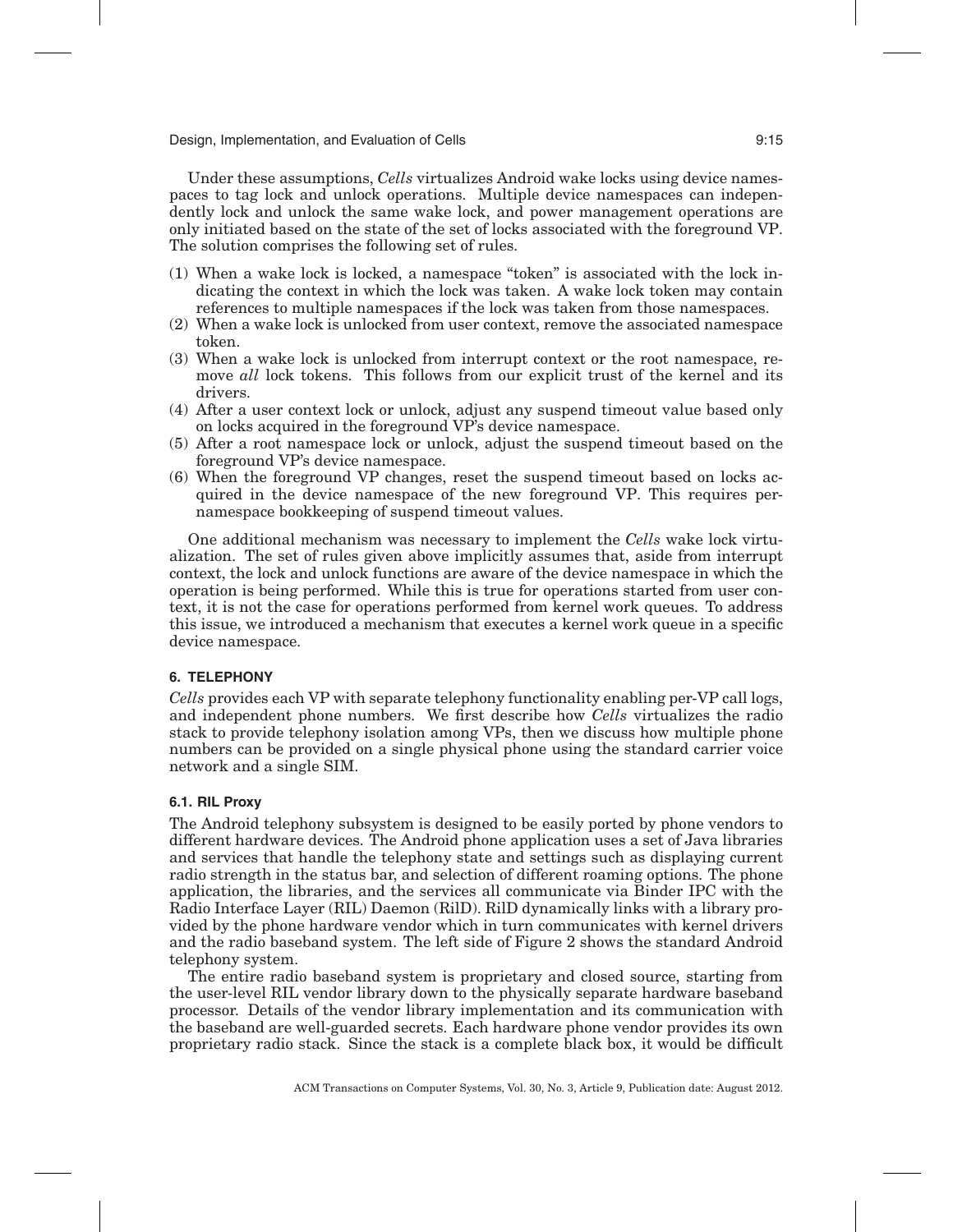Under these assumptions, *Cells* virtualizes Android wake locks using device namespaces to tag lock and unlock operations. Multiple device namespaces can independently lock and unlock the same wake lock, and power management operations are only initiated based on the state of the set of locks associated with the foreground VP. The solution comprises the following set of rules.

- (1) When a wake lock is locked, a namespace "token" is associated with the lock indicating the context in which the lock was taken. A wake lock token may contain references to multiple namespaces if the lock was taken from those namespaces.
- (2) When a wake lock is unlocked from user context, remove the associated namespace token.
- (3) When a wake lock is unlocked from interrupt context or the root namespace, remove *all* lock tokens. This follows from our explicit trust of the kernel and its drivers.
- (4) After a user context lock or unlock, adjust any suspend timeout value based only on locks acquired in the foreground VP's device namespace.
- (5) After a root namespace lock or unlock, adjust the suspend timeout based on the foreground VP's device namespace.
- (6) When the foreground VP changes, reset the suspend timeout based on locks acquired in the device namespace of the new foreground VP. This requires pernamespace bookkeeping of suspend timeout values.

One additional mechanism was necessary to implement the *Cells* wake lock virtualization. The set of rules given above implicitly assumes that, aside from interrupt context, the lock and unlock functions are aware of the device namespace in which the operation is being performed. While this is true for operations started from user context, it is not the case for operations performed from kernel work queues. To address this issue, we introduced a mechanism that executes a kernel work queue in a specific device namespace.

# **6. TELEPHONY**

*Cells* provides each VP with separate telephony functionality enabling per-VP call logs, and independent phone numbers. We first describe how *Cells* virtualizes the radio stack to provide telephony isolation among VPs, then we discuss how multiple phone numbers can be provided on a single physical phone using the standard carrier voice network and a single SIM.

# **6.1. RIL Proxy**

The Android telephony subsystem is designed to be easily ported by phone vendors to different hardware devices. The Android phone application uses a set of Java libraries and services that handle the telephony state and settings such as displaying current radio strength in the status bar, and selection of different roaming options. The phone application, the libraries, and the services all communicate via Binder IPC with the Radio Interface Layer (RIL) Daemon (RilD). RilD dynamically links with a library provided by the phone hardware vendor which in turn communicates with kernel drivers and the radio baseband system. The left side of Figure 2 shows the standard Android telephony system.

The entire radio baseband system is proprietary and closed source, starting from the user-level RIL vendor library down to the physically separate hardware baseband processor. Details of the vendor library implementation and its communication with the baseband are well-guarded secrets. Each hardware phone vendor provides its own proprietary radio stack. Since the stack is a complete black box, it would be difficult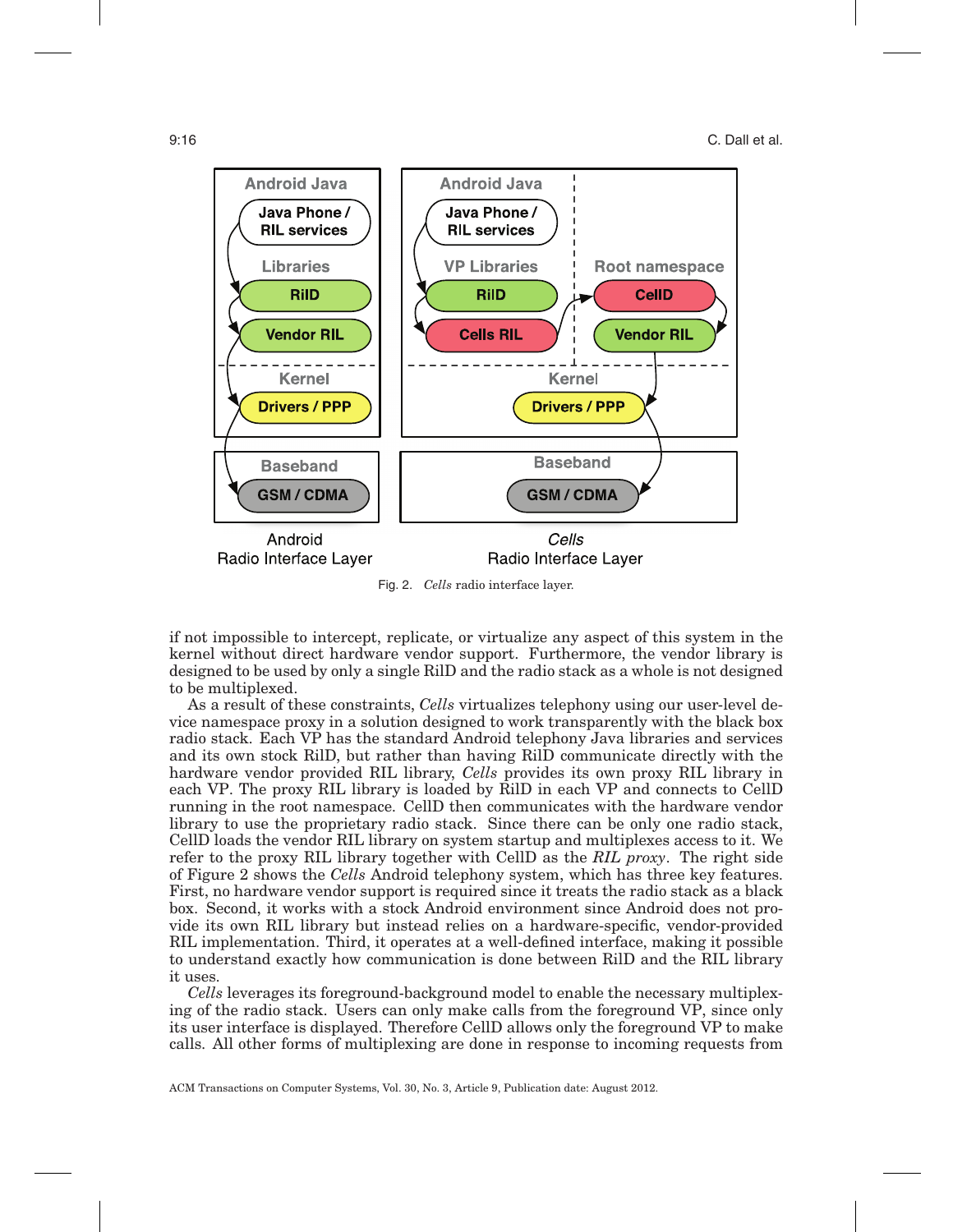

Fig. 2. *Cells* radio interface layer.

if not impossible to intercept, replicate, or virtualize any aspect of this system in the kernel without direct hardware vendor support. Furthermore, the vendor library is designed to be used by only a single RilD and the radio stack as a whole is not designed to be multiplexed.

As a result of these constraints, *Cells* virtualizes telephony using our user-level device namespace proxy in a solution designed to work transparently with the black box radio stack. Each VP has the standard Android telephony Java libraries and services and its own stock RilD, but rather than having RilD communicate directly with the hardware vendor provided RIL library, *Cells* provides its own proxy RIL library in each VP. The proxy RIL library is loaded by RilD in each VP and connects to CellD running in the root namespace. CellD then communicates with the hardware vendor library to use the proprietary radio stack. Since there can be only one radio stack, CellD loads the vendor RIL library on system startup and multiplexes access to it. We refer to the proxy RIL library together with CellD as the *RIL proxy*. The right side of Figure 2 shows the *Cells* Android telephony system, which has three key features. First, no hardware vendor support is required since it treats the radio stack as a black box. Second, it works with a stock Android environment since Android does not provide its own RIL library but instead relies on a hardware-specific, vendor-provided RIL implementation. Third, it operates at a well-defined interface, making it possible to understand exactly how communication is done between RilD and the RIL library it uses.

*Cells* leverages its foreground-background model to enable the necessary multiplexing of the radio stack. Users can only make calls from the foreground VP, since only its user interface is displayed. Therefore CellD allows only the foreground VP to make calls. All other forms of multiplexing are done in response to incoming requests from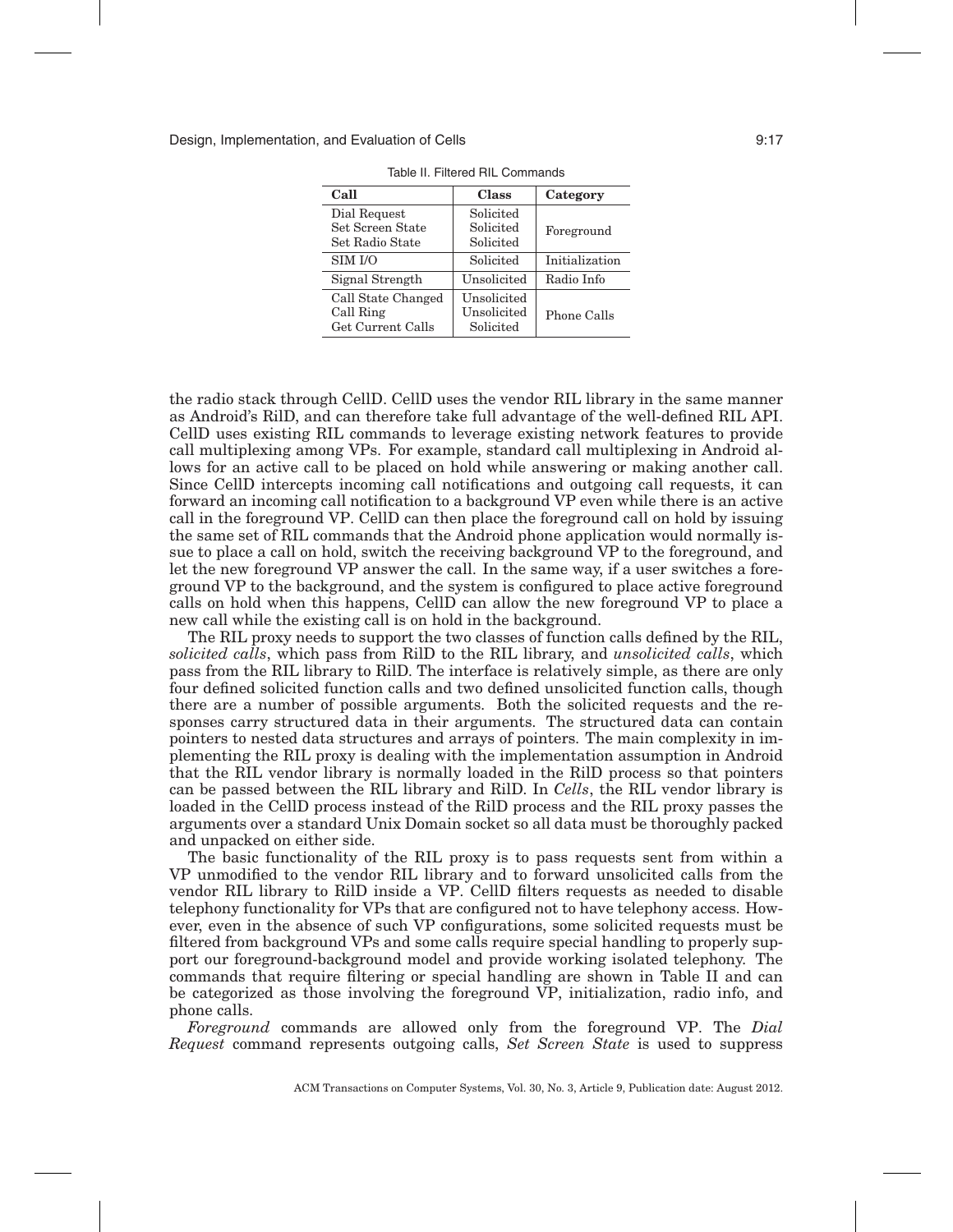| Call                                                 | <b>Class</b>                            | Category       |
|------------------------------------------------------|-----------------------------------------|----------------|
| Dial Request<br>Set Screen State<br>Set Radio State  | Solicited<br>Solicited<br>Solicited     | Foreground     |
| SIM I/O                                              | Solicited                               | Initialization |
| Signal Strength                                      | Unsolicited                             | Radio Info     |
| Call State Changed<br>Call Ring<br>Get Current Calls | Unsolicited<br>Unsolicited<br>Solicited | Phone Calls    |

Table II. Filtered RIL Commands

the radio stack through CellD. CellD uses the vendor RIL library in the same manner as Android's RilD, and can therefore take full advantage of the well-defined RIL API. CellD uses existing RIL commands to leverage existing network features to provide call multiplexing among VPs. For example, standard call multiplexing in Android allows for an active call to be placed on hold while answering or making another call. Since CellD intercepts incoming call notifications and outgoing call requests, it can forward an incoming call notification to a background VP even while there is an active call in the foreground VP. CellD can then place the foreground call on hold by issuing the same set of RIL commands that the Android phone application would normally issue to place a call on hold, switch the receiving background VP to the foreground, and let the new foreground VP answer the call. In the same way, if a user switches a foreground VP to the background, and the system is configured to place active foreground calls on hold when this happens, CellD can allow the new foreground VP to place a new call while the existing call is on hold in the background.

The RIL proxy needs to support the two classes of function calls defined by the RIL, *solicited calls*, which pass from RilD to the RIL library, and *unsolicited calls*, which pass from the RIL library to RilD. The interface is relatively simple, as there are only four defined solicited function calls and two defined unsolicited function calls, though there are a number of possible arguments. Both the solicited requests and the responses carry structured data in their arguments. The structured data can contain pointers to nested data structures and arrays of pointers. The main complexity in implementing the RIL proxy is dealing with the implementation assumption in Android that the RIL vendor library is normally loaded in the RilD process so that pointers can be passed between the RIL library and RilD. In *Cells*, the RIL vendor library is loaded in the CellD process instead of the RilD process and the RIL proxy passes the arguments over a standard Unix Domain socket so all data must be thoroughly packed and unpacked on either side.

The basic functionality of the RIL proxy is to pass requests sent from within a VP unmodified to the vendor RIL library and to forward unsolicited calls from the vendor RIL library to RilD inside a VP. CellD filters requests as needed to disable telephony functionality for VPs that are configured not to have telephony access. However, even in the absence of such VP configurations, some solicited requests must be filtered from background VPs and some calls require special handling to properly support our foreground-background model and provide working isolated telephony. The commands that require filtering or special handling are shown in Table II and can be categorized as those involving the foreground VP, initialization, radio info, and phone calls.

*Foreground* commands are allowed only from the foreground VP. The *Dial Request* command represents outgoing calls, *Set Screen State* is used to suppress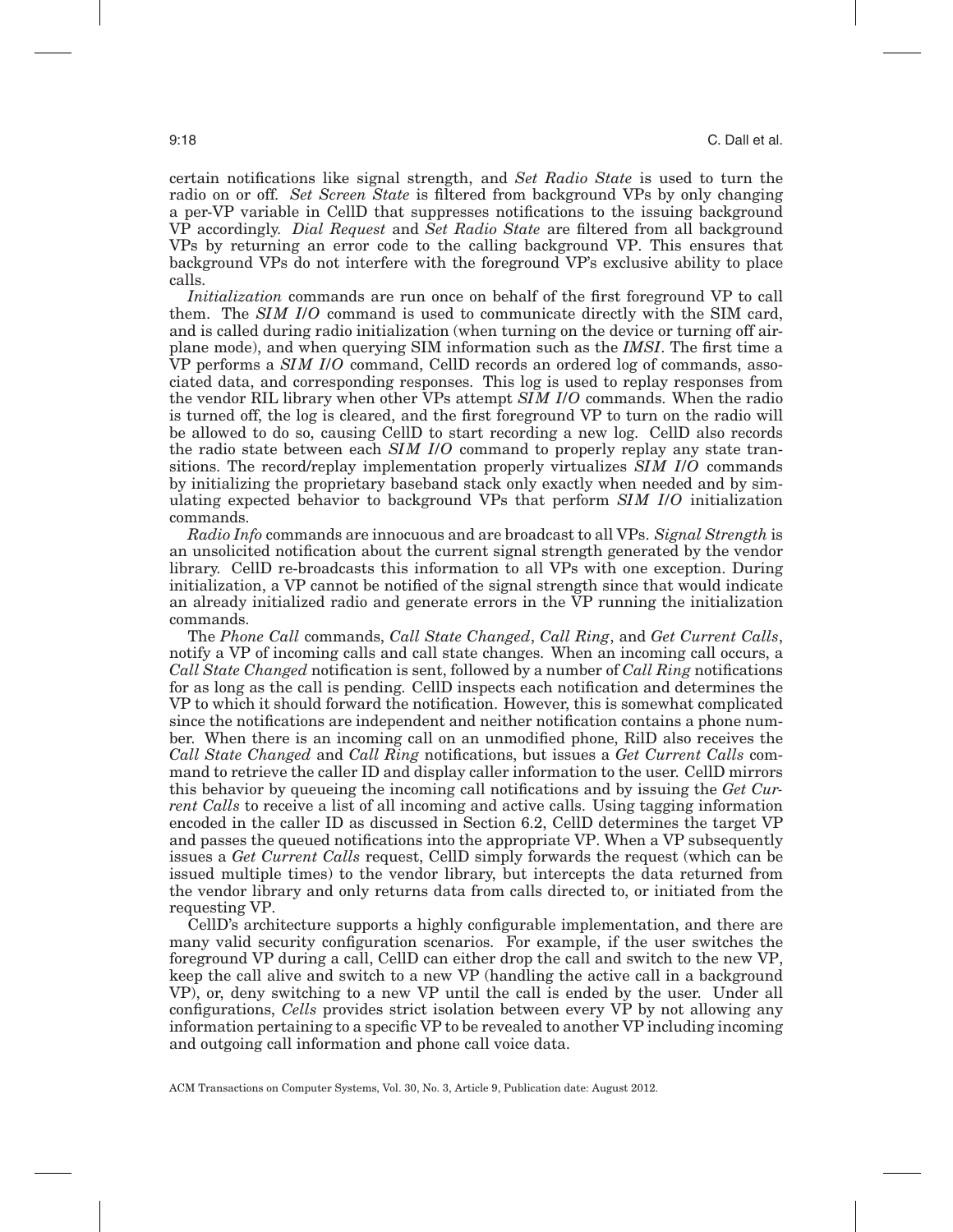certain notifications like signal strength, and *Set Radio State* is used to turn the radio on or off. *Set Screen State* is filtered from background VPs by only changing a per-VP variable in CellD that suppresses notifications to the issuing background VP accordingly. *Dial Request* and *Set Radio State* are filtered from all background VPs by returning an error code to the calling background VP. This ensures that background VPs do not interfere with the foreground VP's exclusive ability to place calls.

*Initialization* commands are run once on behalf of the first foreground VP to call them. The *SIM I*/*O* command is used to communicate directly with the SIM card, and is called during radio initialization (when turning on the device or turning off airplane mode), and when querying SIM information such as the *IMSI*. The first time a VP performs a *SIM I*/*O* command, CellD records an ordered log of commands, associated data, and corresponding responses. This log is used to replay responses from the vendor RIL library when other VPs attempt *SIM I*/*O* commands. When the radio is turned off, the log is cleared, and the first foreground VP to turn on the radio will be allowed to do so, causing CellD to start recording a new log. CellD also records the radio state between each *SIM I*/*O* command to properly replay any state transitions. The record/replay implementation properly virtualizes *SIM I*/*O* commands by initializing the proprietary baseband stack only exactly when needed and by simulating expected behavior to background VPs that perform *SIM I*/*O* initialization commands.

*Radio Info* commands are innocuous and are broadcast to all VPs. *Signal Strength* is an unsolicited notification about the current signal strength generated by the vendor library. CellD re-broadcasts this information to all VPs with one exception. During initialization, a VP cannot be notified of the signal strength since that would indicate an already initialized radio and generate errors in the VP running the initialization commands.

The *Phone Call* commands, *Call State Changed*, *Call Ring*, and *Get Current Calls*, notify a VP of incoming calls and call state changes. When an incoming call occurs, a *Call State Changed* notification is sent, followed by a number of *Call Ring* notifications for as long as the call is pending. CellD inspects each notification and determines the VP to which it should forward the notification. However, this is somewhat complicated since the notifications are independent and neither notification contains a phone number. When there is an incoming call on an unmodified phone, RilD also receives the *Call State Changed* and *Call Ring* notifications, but issues a *Get Current Calls* command to retrieve the caller ID and display caller information to the user. CellD mirrors this behavior by queueing the incoming call notifications and by issuing the *Get Current Calls* to receive a list of all incoming and active calls. Using tagging information encoded in the caller ID as discussed in Section 6.2, CellD determines the target VP and passes the queued notifications into the appropriate VP. When a VP subsequently issues a *Get Current Calls* request, CellD simply forwards the request (which can be issued multiple times) to the vendor library, but intercepts the data returned from the vendor library and only returns data from calls directed to, or initiated from the requesting VP.

CellD's architecture supports a highly configurable implementation, and there are many valid security configuration scenarios. For example, if the user switches the foreground VP during a call, CellD can either drop the call and switch to the new VP, keep the call alive and switch to a new VP (handling the active call in a background VP), or, deny switching to a new VP until the call is ended by the user. Under all configurations, *Cells* provides strict isolation between every VP by not allowing any information pertaining to a specific VP to be revealed to another VP including incoming and outgoing call information and phone call voice data.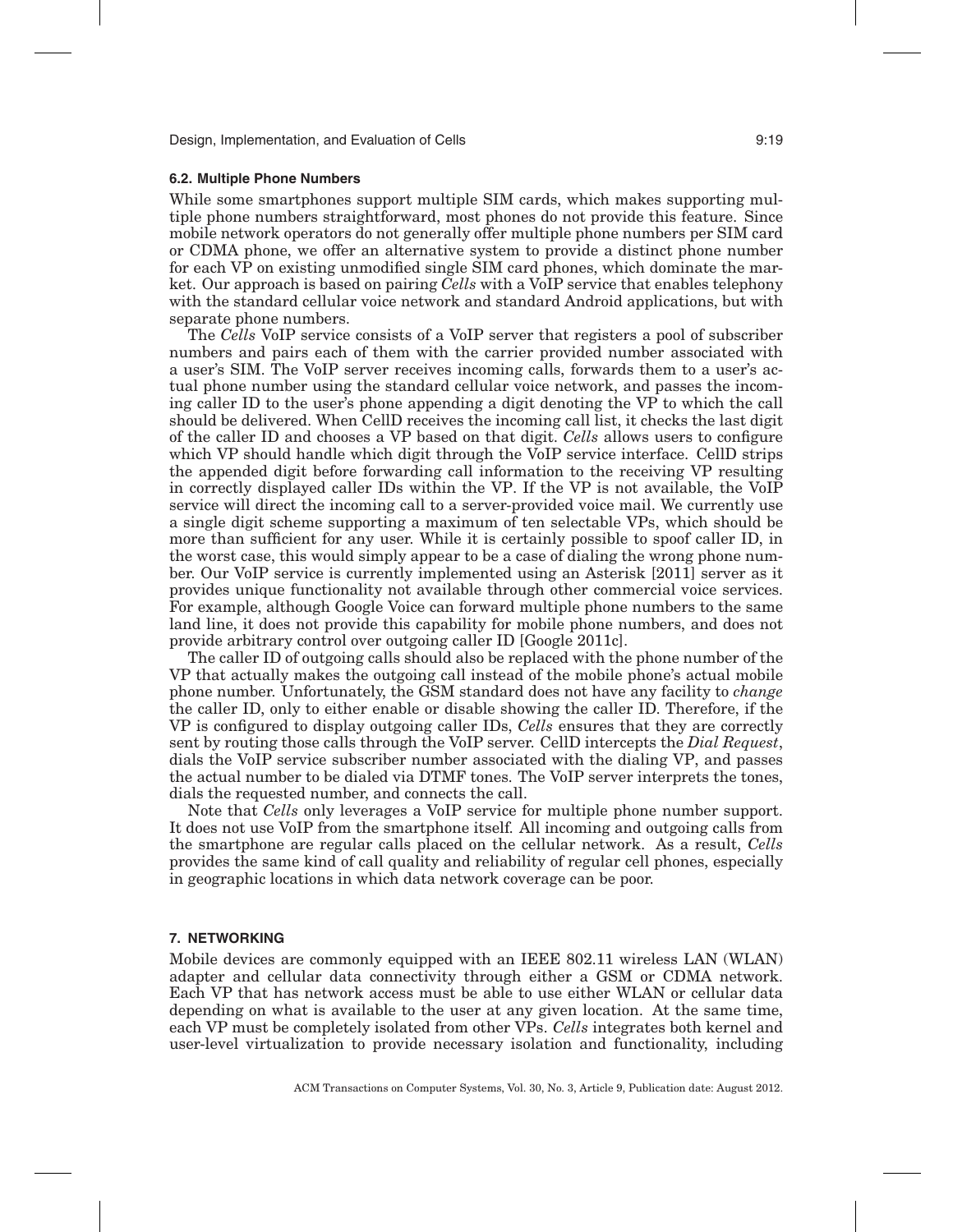## **6.2. Multiple Phone Numbers**

While some smartphones support multiple SIM cards, which makes supporting multiple phone numbers straightforward, most phones do not provide this feature. Since mobile network operators do not generally offer multiple phone numbers per SIM card or CDMA phone, we offer an alternative system to provide a distinct phone number for each VP on existing unmodified single SIM card phones, which dominate the market. Our approach is based on pairing *Cells* with a VoIP service that enables telephony with the standard cellular voice network and standard Android applications, but with separate phone numbers.

The *Cells* VoIP service consists of a VoIP server that registers a pool of subscriber numbers and pairs each of them with the carrier provided number associated with a user's SIM. The VoIP server receives incoming calls, forwards them to a user's actual phone number using the standard cellular voice network, and passes the incoming caller ID to the user's phone appending a digit denoting the VP to which the call should be delivered. When CellD receives the incoming call list, it checks the last digit of the caller ID and chooses a VP based on that digit. *Cells* allows users to configure which VP should handle which digit through the VoIP service interface. CellD strips the appended digit before forwarding call information to the receiving VP resulting in correctly displayed caller IDs within the VP. If the VP is not available, the VoIP service will direct the incoming call to a server-provided voice mail. We currently use a single digit scheme supporting a maximum of ten selectable VPs, which should be more than sufficient for any user. While it is certainly possible to spoof caller ID, in the worst case, this would simply appear to be a case of dialing the wrong phone number. Our VoIP service is currently implemented using an Asterisk [2011] server as it provides unique functionality not available through other commercial voice services. For example, although Google Voice can forward multiple phone numbers to the same land line, it does not provide this capability for mobile phone numbers, and does not provide arbitrary control over outgoing caller ID [Google 2011c].

The caller ID of outgoing calls should also be replaced with the phone number of the VP that actually makes the outgoing call instead of the mobile phone's actual mobile phone number. Unfortunately, the GSM standard does not have any facility to *change* the caller ID, only to either enable or disable showing the caller ID. Therefore, if the VP is configured to display outgoing caller IDs, *Cells* ensures that they are correctly sent by routing those calls through the VoIP server. CellD intercepts the *Dial Request*, dials the VoIP service subscriber number associated with the dialing VP, and passes the actual number to be dialed via DTMF tones. The VoIP server interprets the tones, dials the requested number, and connects the call.

Note that *Cells* only leverages a VoIP service for multiple phone number support. It does not use VoIP from the smartphone itself. All incoming and outgoing calls from the smartphone are regular calls placed on the cellular network. As a result, *Cells* provides the same kind of call quality and reliability of regular cell phones, especially in geographic locations in which data network coverage can be poor.

# **7. NETWORKING**

Mobile devices are commonly equipped with an IEEE 802.11 wireless LAN (WLAN) adapter and cellular data connectivity through either a GSM or CDMA network. Each VP that has network access must be able to use either WLAN or cellular data depending on what is available to the user at any given location. At the same time, each VP must be completely isolated from other VPs. *Cells* integrates both kernel and user-level virtualization to provide necessary isolation and functionality, including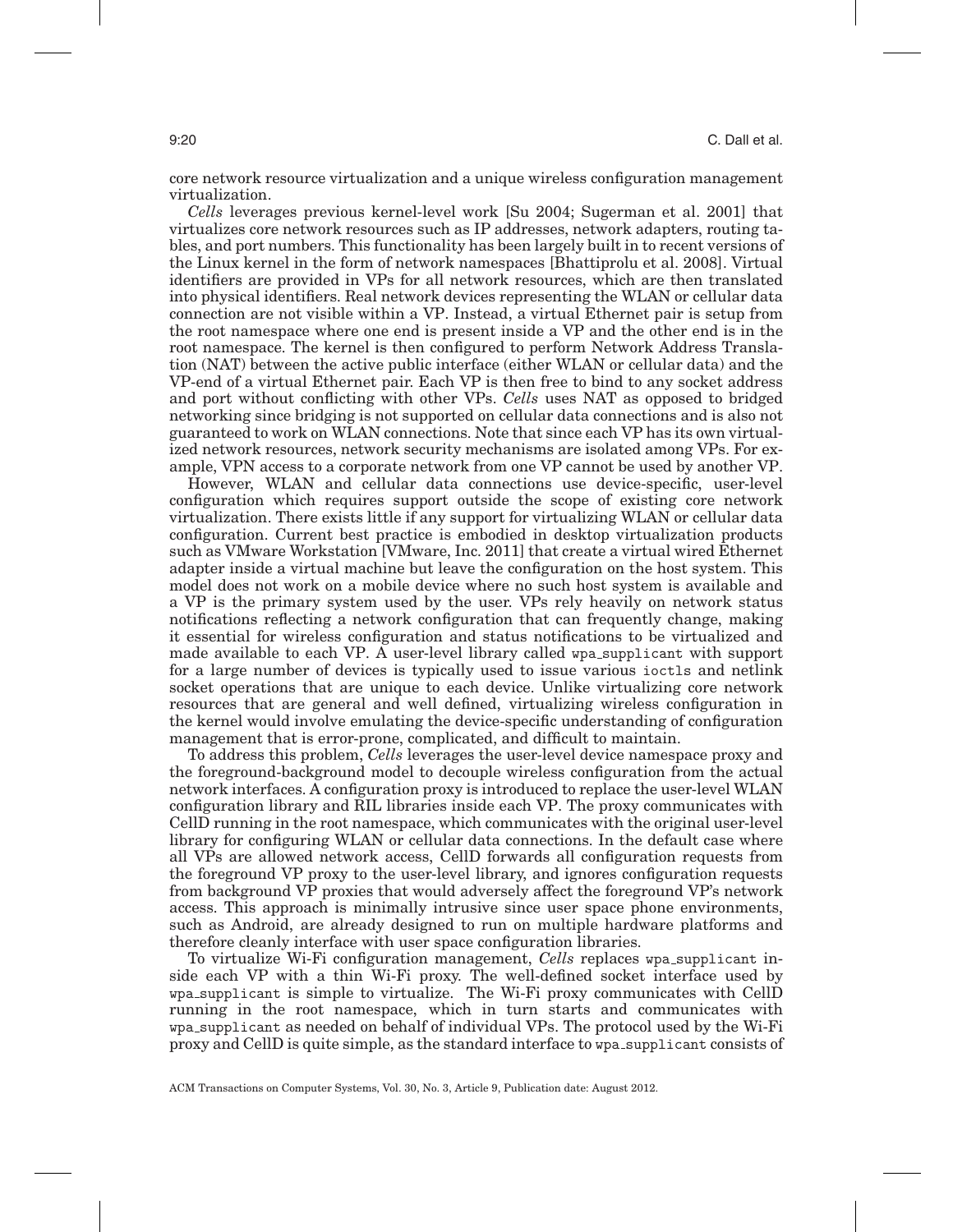core network resource virtualization and a unique wireless configuration management virtualization.

*Cells* leverages previous kernel-level work [Su 2004; Sugerman et al. 2001] that virtualizes core network resources such as IP addresses, network adapters, routing tables, and port numbers. This functionality has been largely built in to recent versions of the Linux kernel in the form of network namespaces [Bhattiprolu et al. 2008]. Virtual identifiers are provided in VPs for all network resources, which are then translated into physical identifiers. Real network devices representing the WLAN or cellular data connection are not visible within a VP. Instead, a virtual Ethernet pair is setup from the root namespace where one end is present inside a VP and the other end is in the root namespace. The kernel is then configured to perform Network Address Translation (NAT) between the active public interface (either WLAN or cellular data) and the VP-end of a virtual Ethernet pair. Each VP is then free to bind to any socket address and port without conflicting with other VPs. *Cells* uses NAT as opposed to bridged networking since bridging is not supported on cellular data connections and is also not guaranteed to work on WLAN connections. Note that since each VP has its own virtualized network resources, network security mechanisms are isolated among VPs. For example, VPN access to a corporate network from one VP cannot be used by another VP.

However, WLAN and cellular data connections use device-specific, user-level configuration which requires support outside the scope of existing core network virtualization. There exists little if any support for virtualizing WLAN or cellular data configuration. Current best practice is embodied in desktop virtualization products such as VMware Workstation [VMware, Inc. 2011] that create a virtual wired Ethernet adapter inside a virtual machine but leave the configuration on the host system. This model does not work on a mobile device where no such host system is available and a VP is the primary system used by the user. VPs rely heavily on network status notifications reflecting a network configuration that can frequently change, making it essential for wireless configuration and status notifications to be virtualized and made available to each VP. A user-level library called wpa supplicant with support for a large number of devices is typically used to issue various ioctls and netlink socket operations that are unique to each device. Unlike virtualizing core network resources that are general and well defined, virtualizing wireless configuration in the kernel would involve emulating the device-specific understanding of configuration management that is error-prone, complicated, and difficult to maintain.

To address this problem, *Cells* leverages the user-level device namespace proxy and the foreground-background model to decouple wireless configuration from the actual network interfaces. A configuration proxy is introduced to replace the user-level WLAN configuration library and RIL libraries inside each VP. The proxy communicates with CellD running in the root namespace, which communicates with the original user-level library for configuring WLAN or cellular data connections. In the default case where all VPs are allowed network access, CellD forwards all configuration requests from the foreground VP proxy to the user-level library, and ignores configuration requests from background VP proxies that would adversely affect the foreground VP's network access. This approach is minimally intrusive since user space phone environments, such as Android, are already designed to run on multiple hardware platforms and therefore cleanly interface with user space configuration libraries.

To virtualize Wi-Fi configuration management, *Cells* replaces wpa supplicant inside each VP with a thin Wi-Fi proxy. The well-defined socket interface used by wpa supplicant is simple to virtualize. The Wi-Fi proxy communicates with CellD running in the root namespace, which in turn starts and communicates with wpa supplicant as needed on behalf of individual VPs. The protocol used by the Wi-Fi proxy and CellD is quite simple, as the standard interface to wpa supplicant consists of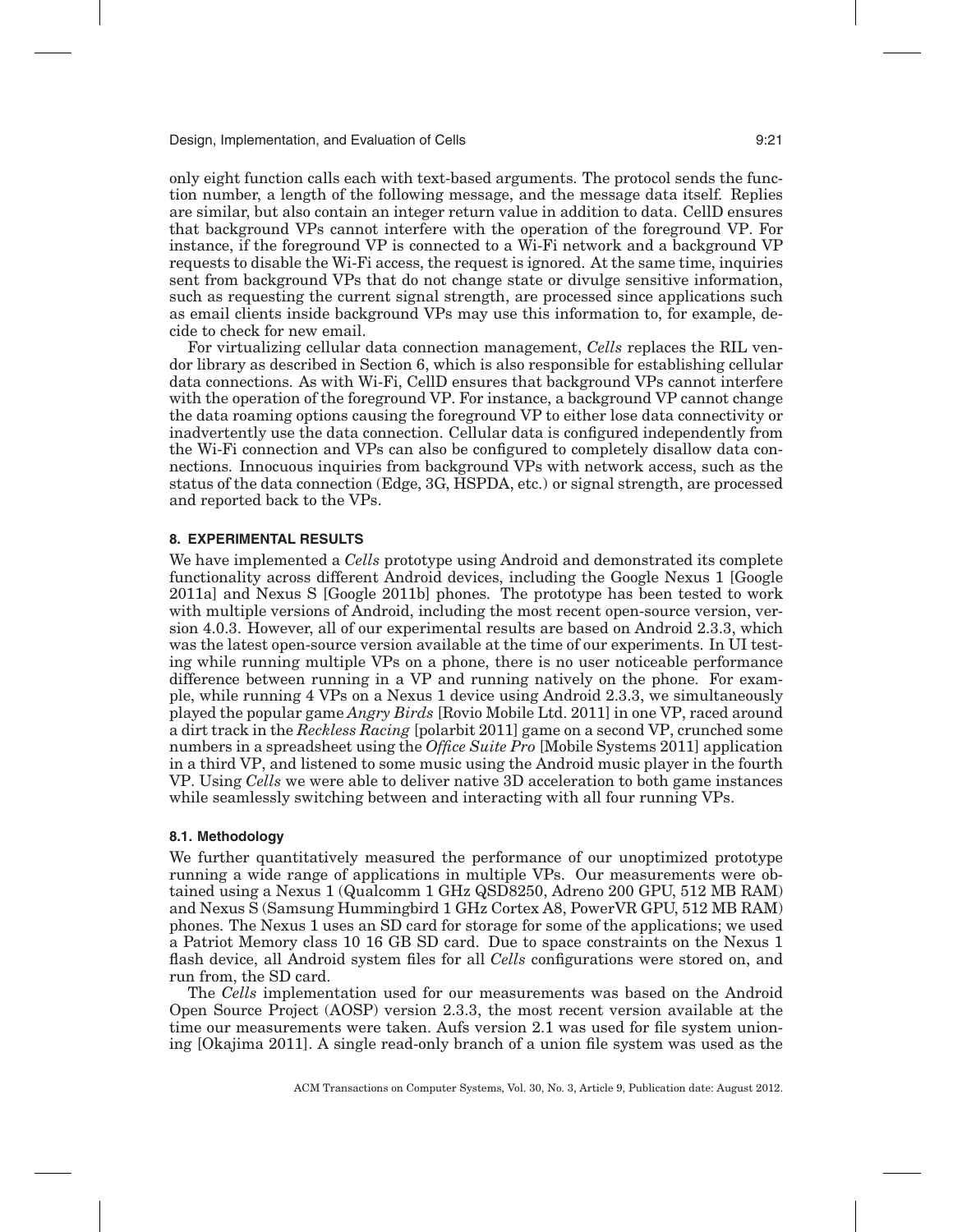only eight function calls each with text-based arguments. The protocol sends the function number, a length of the following message, and the message data itself. Replies are similar, but also contain an integer return value in addition to data. CellD ensures that background VPs cannot interfere with the operation of the foreground VP. For instance, if the foreground VP is connected to a Wi-Fi network and a background VP requests to disable the Wi-Fi access, the request is ignored. At the same time, inquiries sent from background VPs that do not change state or divulge sensitive information, such as requesting the current signal strength, are processed since applications such as email clients inside background VPs may use this information to, for example, decide to check for new email.

For virtualizing cellular data connection management, *Cells* replaces the RIL vendor library as described in Section 6, which is also responsible for establishing cellular data connections. As with Wi-Fi, CellD ensures that background VPs cannot interfere with the operation of the foreground VP. For instance, a background VP cannot change the data roaming options causing the foreground VP to either lose data connectivity or inadvertently use the data connection. Cellular data is configured independently from the Wi-Fi connection and VPs can also be configured to completely disallow data connections. Innocuous inquiries from background VPs with network access, such as the status of the data connection (Edge, 3G, HSPDA, etc.) or signal strength, are processed and reported back to the VPs.

# **8. EXPERIMENTAL RESULTS**

We have implemented a *Cells* prototype using Android and demonstrated its complete functionality across different Android devices, including the Google Nexus 1 [Google 2011a] and Nexus S [Google 2011b] phones. The prototype has been tested to work with multiple versions of Android, including the most recent open-source version, version 4.0.3. However, all of our experimental results are based on Android 2.3.3, which was the latest open-source version available at the time of our experiments. In UI testing while running multiple VPs on a phone, there is no user noticeable performance difference between running in a VP and running natively on the phone. For example, while running 4 VPs on a Nexus 1 device using Android 2.3.3, we simultaneously played the popular game *Angry Birds* [Rovio Mobile Ltd. 2011] in one VP, raced around a dirt track in the *Reckless Racing* [polarbit 2011] game on a second VP, crunched some numbers in a spreadsheet using the *Office Suite Pro* [Mobile Systems 2011] application in a third VP, and listened to some music using the Android music player in the fourth VP. Using *Cells* we were able to deliver native 3D acceleration to both game instances while seamlessly switching between and interacting with all four running VPs.

## **8.1. Methodology**

We further quantitatively measured the performance of our unoptimized prototype running a wide range of applications in multiple VPs. Our measurements were obtained using a Nexus 1 (Qualcomm 1 GHz QSD8250, Adreno 200 GPU, 512 MB RAM) and Nexus S (Samsung Hummingbird 1 GHz Cortex A8, PowerVR GPU, 512 MB RAM) phones. The Nexus 1 uses an SD card for storage for some of the applications; we used a Patriot Memory class 10 16 GB SD card. Due to space constraints on the Nexus 1 flash device, all Android system files for all *Cells* configurations were stored on, and run from, the SD card.

The *Cells* implementation used for our measurements was based on the Android Open Source Project (AOSP) version 2.3.3, the most recent version available at the time our measurements were taken. Aufs version 2.1 was used for file system unioning [Okajima 2011]. A single read-only branch of a union file system was used as the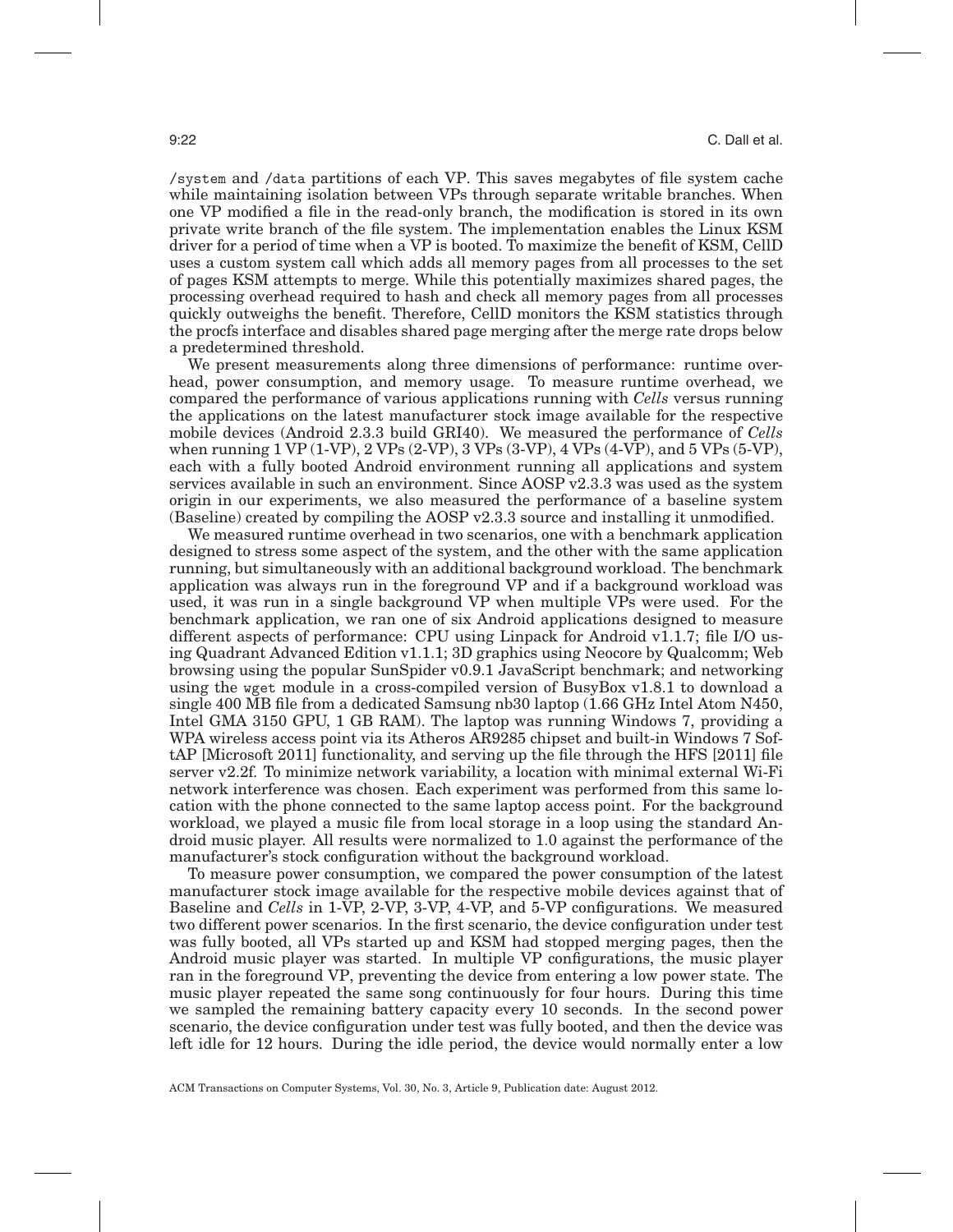/system and /data partitions of each VP. This saves megabytes of file system cache while maintaining isolation between VPs through separate writable branches. When one VP modified a file in the read-only branch, the modification is stored in its own private write branch of the file system. The implementation enables the Linux KSM driver for a period of time when a VP is booted. To maximize the benefit of KSM, CellD uses a custom system call which adds all memory pages from all processes to the set of pages KSM attempts to merge. While this potentially maximizes shared pages, the processing overhead required to hash and check all memory pages from all processes quickly outweighs the benefit. Therefore, CellD monitors the KSM statistics through the procfs interface and disables shared page merging after the merge rate drops below a predetermined threshold.

We present measurements along three dimensions of performance: runtime overhead, power consumption, and memory usage. To measure runtime overhead, we compared the performance of various applications running with *Cells* versus running the applications on the latest manufacturer stock image available for the respective mobile devices (Android 2.3.3 build GRI40). We measured the performance of *Cells* when running 1 VP (1-VP), 2 VPs (2-VP), 3 VPs (3-VP), 4 VPs (4-VP), and 5 VPs (5-VP), each with a fully booted Android environment running all applications and system services available in such an environment. Since AOSP v2.3.3 was used as the system origin in our experiments, we also measured the performance of a baseline system (Baseline) created by compiling the AOSP v2.3.3 source and installing it unmodified.

We measured runtime overhead in two scenarios, one with a benchmark application designed to stress some aspect of the system, and the other with the same application running, but simultaneously with an additional background workload. The benchmark application was always run in the foreground VP and if a background workload was used, it was run in a single background VP when multiple VPs were used. For the benchmark application, we ran one of six Android applications designed to measure different aspects of performance: CPU using Linpack for Android v1.1.7; file I/O using Quadrant Advanced Edition v1.1.1; 3D graphics using Neocore by Qualcomm; Web browsing using the popular SunSpider v0.9.1 JavaScript benchmark; and networking using the wget module in a cross-compiled version of BusyBox v1.8.1 to download a single 400 MB file from a dedicated Samsung nb30 laptop (1.66 GHz Intel Atom N450, Intel GMA 3150 GPU, 1 GB RAM). The laptop was running Windows 7, providing a WPA wireless access point via its Atheros AR9285 chipset and built-in Windows 7 SoftAP [Microsoft 2011] functionality, and serving up the file through the HFS [2011] file server v2.2f. To minimize network variability, a location with minimal external Wi-Fi network interference was chosen. Each experiment was performed from this same location with the phone connected to the same laptop access point. For the background workload, we played a music file from local storage in a loop using the standard Android music player. All results were normalized to 1.0 against the performance of the manufacturer's stock configuration without the background workload.

To measure power consumption, we compared the power consumption of the latest manufacturer stock image available for the respective mobile devices against that of Baseline and *Cells* in 1-VP, 2-VP, 3-VP, 4-VP, and 5-VP configurations. We measured two different power scenarios. In the first scenario, the device configuration under test was fully booted, all VPs started up and KSM had stopped merging pages, then the Android music player was started. In multiple VP configurations, the music player ran in the foreground VP, preventing the device from entering a low power state. The music player repeated the same song continuously for four hours. During this time we sampled the remaining battery capacity every 10 seconds. In the second power scenario, the device configuration under test was fully booted, and then the device was left idle for 12 hours. During the idle period, the device would normally enter a low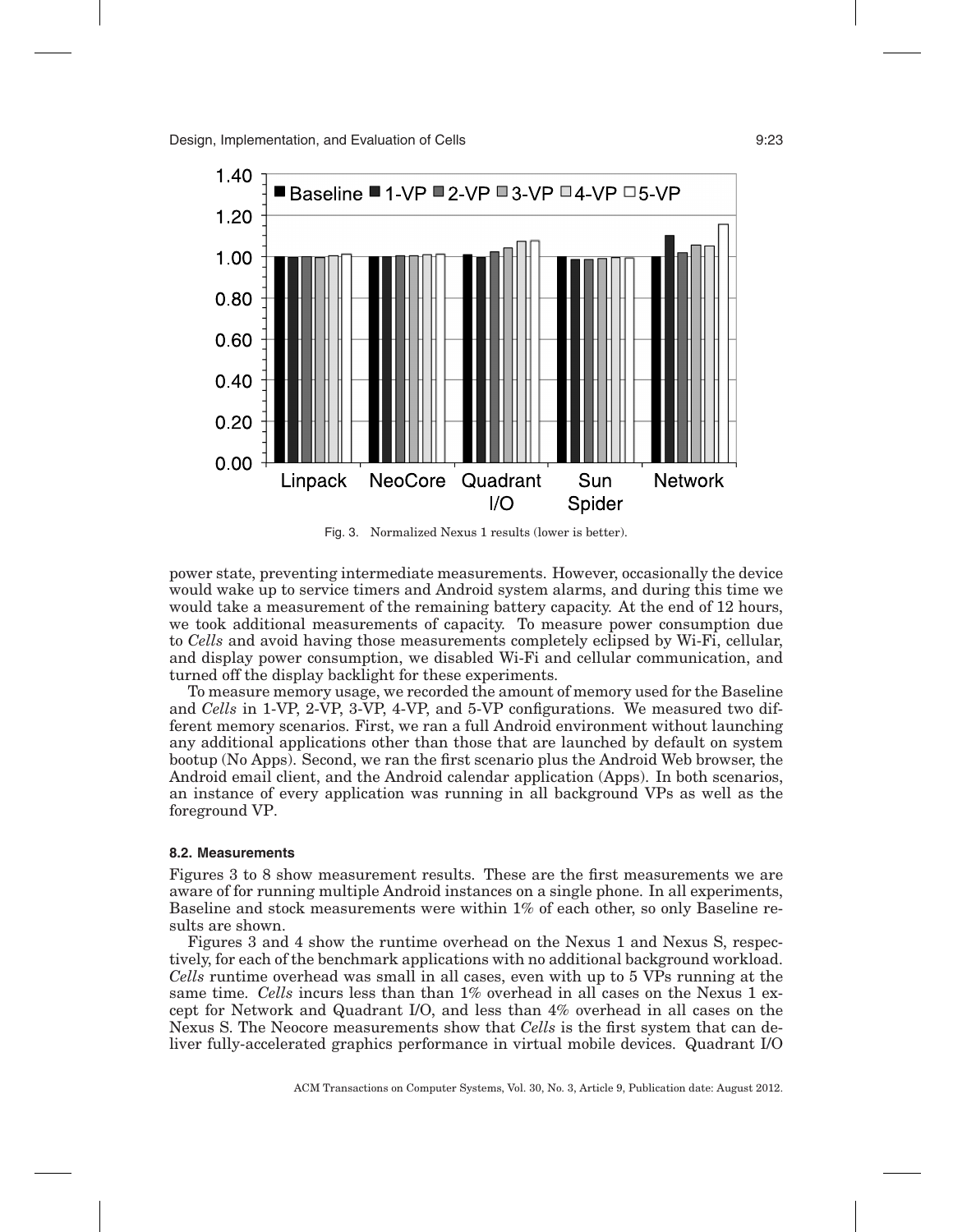

Fig. 3. Normalized Nexus 1 results (lower is better).

power state, preventing intermediate measurements. However, occasionally the device would wake up to service timers and Android system alarms, and during this time we would take a measurement of the remaining battery capacity. At the end of 12 hours, we took additional measurements of capacity. To measure power consumption due to *Cells* and avoid having those measurements completely eclipsed by Wi-Fi, cellular, and display power consumption, we disabled Wi-Fi and cellular communication, and turned off the display backlight for these experiments.

To measure memory usage, we recorded the amount of memory used for the Baseline and *Cells* in 1-VP, 2-VP, 3-VP, 4-VP, and 5-VP configurations. We measured two different memory scenarios. First, we ran a full Android environment without launching any additional applications other than those that are launched by default on system bootup (No Apps). Second, we ran the first scenario plus the Android Web browser, the Android email client, and the Android calendar application (Apps). In both scenarios, an instance of every application was running in all background VPs as well as the foreground VP.

# **8.2. Measurements**

Figures 3 to 8 show measurement results. These are the first measurements we are aware of for running multiple Android instances on a single phone. In all experiments, Baseline and stock measurements were within 1% of each other, so only Baseline results are shown.

Figures 3 and 4 show the runtime overhead on the Nexus 1 and Nexus S, respectively, for each of the benchmark applications with no additional background workload. *Cells* runtime overhead was small in all cases, even with up to 5 VPs running at the same time. *Cells* incurs less than than 1% overhead in all cases on the Nexus 1 except for Network and Quadrant I/O, and less than 4% overhead in all cases on the Nexus S. The Neocore measurements show that *Cells* is the first system that can deliver fully-accelerated graphics performance in virtual mobile devices. Quadrant I/O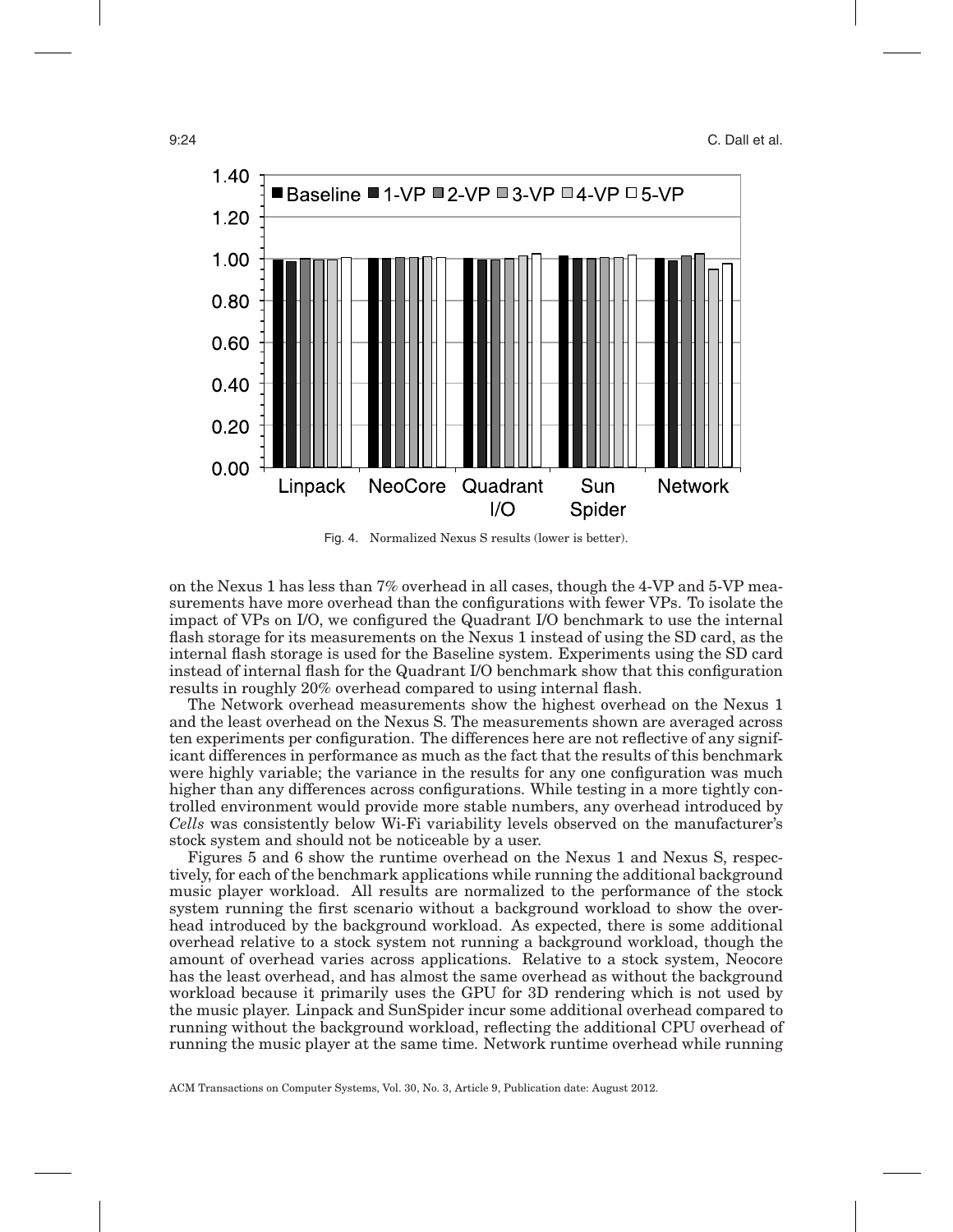9:24 C. Dall et al.



Fig. 4. Normalized Nexus S results (lower is better).

on the Nexus 1 has less than 7% overhead in all cases, though the 4-VP and 5-VP measurements have more overhead than the configurations with fewer VPs. To isolate the impact of VPs on I/O, we configured the Quadrant I/O benchmark to use the internal flash storage for its measurements on the Nexus 1 instead of using the SD card, as the internal flash storage is used for the Baseline system. Experiments using the SD card instead of internal flash for the Quadrant I/O benchmark show that this configuration results in roughly 20% overhead compared to using internal flash.

The Network overhead measurements show the highest overhead on the Nexus 1 and the least overhead on the Nexus S. The measurements shown are averaged across ten experiments per configuration. The differences here are not reflective of any significant differences in performance as much as the fact that the results of this benchmark were highly variable; the variance in the results for any one configuration was much higher than any differences across configurations. While testing in a more tightly controlled environment would provide more stable numbers, any overhead introduced by *Cells* was consistently below Wi-Fi variability levels observed on the manufacturer's stock system and should not be noticeable by a user.

Figures 5 and 6 show the runtime overhead on the Nexus 1 and Nexus S, respectively, for each of the benchmark applications while running the additional background music player workload. All results are normalized to the performance of the stock system running the first scenario without a background workload to show the overhead introduced by the background workload. As expected, there is some additional overhead relative to a stock system not running a background workload, though the amount of overhead varies across applications. Relative to a stock system, Neocore has the least overhead, and has almost the same overhead as without the background workload because it primarily uses the GPU for 3D rendering which is not used by the music player. Linpack and SunSpider incur some additional overhead compared to running without the background workload, reflecting the additional CPU overhead of running the music player at the same time. Network runtime overhead while running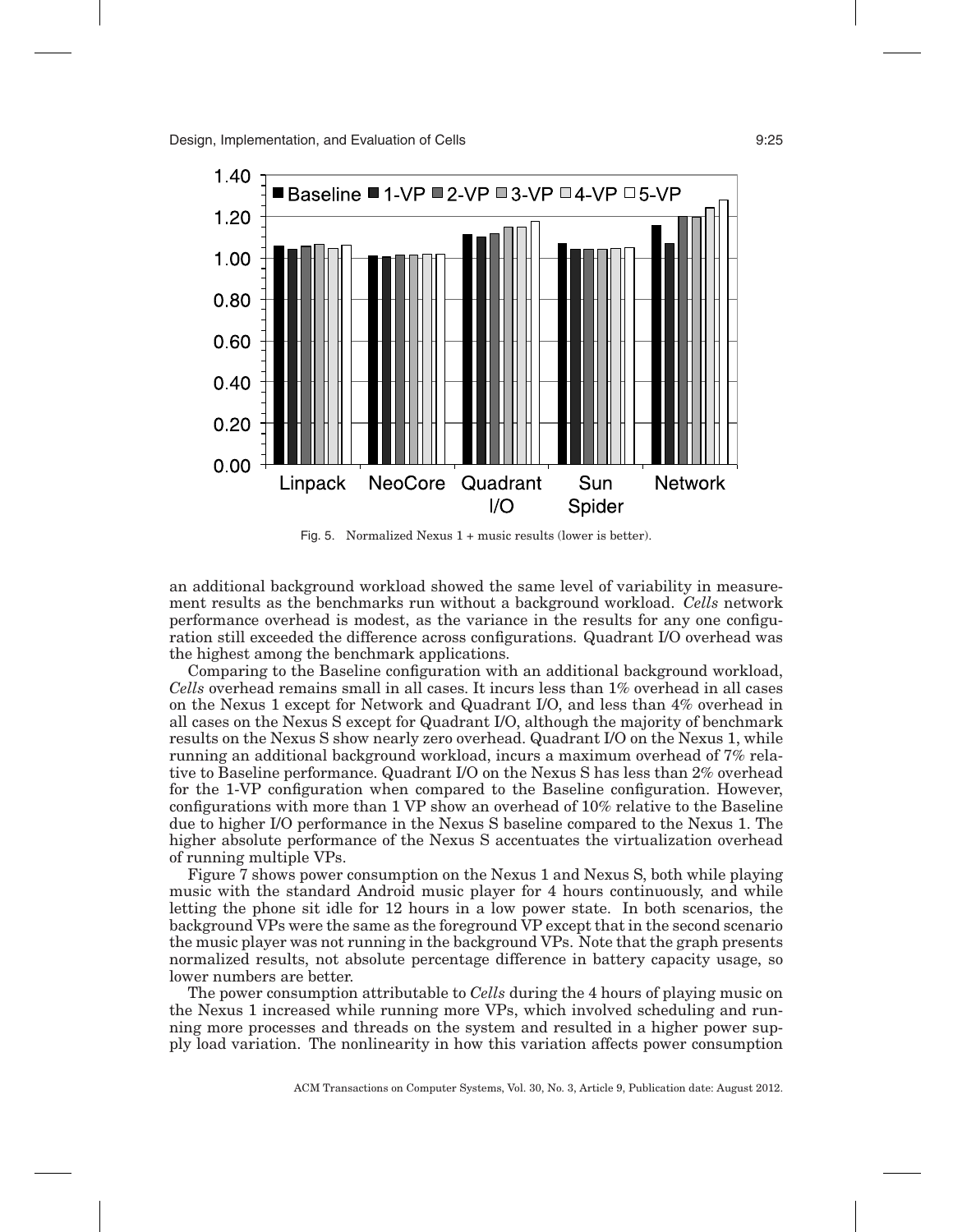

Fig. 5. Normalized Nexus 1 + music results (lower is better).

an additional background workload showed the same level of variability in measurement results as the benchmarks run without a background workload. *Cells* network performance overhead is modest, as the variance in the results for any one configuration still exceeded the difference across configurations. Quadrant I/O overhead was the highest among the benchmark applications.

Comparing to the Baseline configuration with an additional background workload, *Cells* overhead remains small in all cases. It incurs less than 1% overhead in all cases on the Nexus 1 except for Network and Quadrant I/O, and less than 4% overhead in all cases on the Nexus S except for Quadrant I/O, although the majority of benchmark results on the Nexus S show nearly zero overhead. Quadrant I/O on the Nexus 1, while running an additional background workload, incurs a maximum overhead of 7% relative to Baseline performance. Quadrant I/O on the Nexus S has less than 2% overhead for the 1-VP configuration when compared to the Baseline configuration. However, configurations with more than 1 VP show an overhead of 10% relative to the Baseline due to higher I/O performance in the Nexus S baseline compared to the Nexus 1. The higher absolute performance of the Nexus S accentuates the virtualization overhead of running multiple VPs.

Figure 7 shows power consumption on the Nexus 1 and Nexus S, both while playing music with the standard Android music player for 4 hours continuously, and while letting the phone sit idle for 12 hours in a low power state. In both scenarios, the background VPs were the same as the foreground VP except that in the second scenario the music player was not running in the background VPs. Note that the graph presents normalized results, not absolute percentage difference in battery capacity usage, so lower numbers are better.

The power consumption attributable to *Cells* during the 4 hours of playing music on the Nexus 1 increased while running more VPs, which involved scheduling and running more processes and threads on the system and resulted in a higher power supply load variation. The nonlinearity in how this variation affects power consumption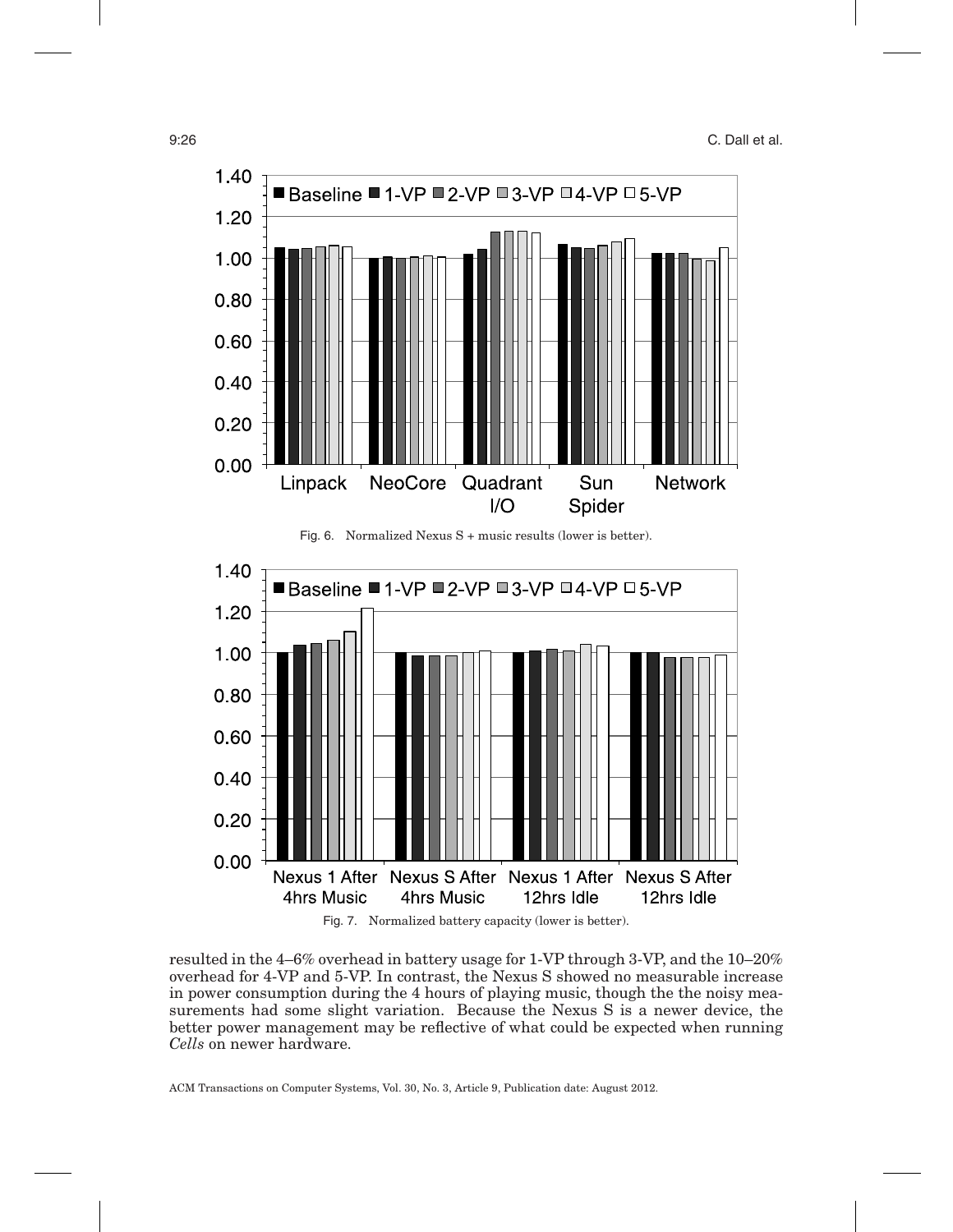9:26 C. Dall et al.



Fig. 6. Normalized Nexus S + music results (lower is better).



Fig. 7. Normalized battery capacity (lower is better).

resulted in the 4–6% overhead in battery usage for 1-VP through 3-VP, and the 10–20% overhead for 4-VP and 5-VP. In contrast, the Nexus S showed no measurable increase in power consumption during the 4 hours of playing music, though the the noisy measurements had some slight variation. Because the Nexus S is a newer device, the better power management may be reflective of what could be expected when running *Cells* on newer hardware.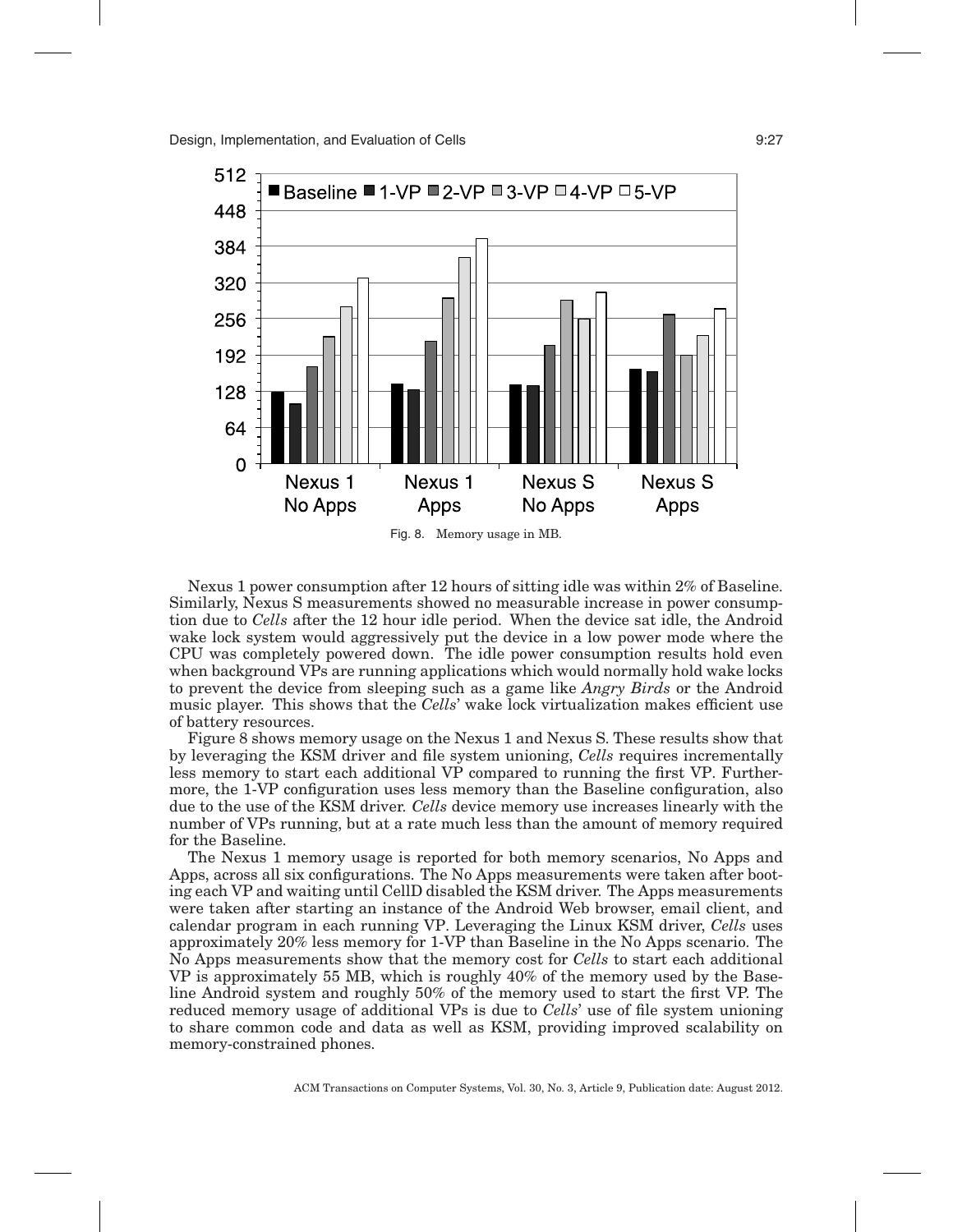

Nexus 1 power consumption after 12 hours of sitting idle was within 2% of Baseline. Similarly, Nexus S measurements showed no measurable increase in power consumption due to *Cells* after the 12 hour idle period. When the device sat idle, the Android wake lock system would aggressively put the device in a low power mode where the CPU was completely powered down. The idle power consumption results hold even when background VPs are running applications which would normally hold wake locks to prevent the device from sleeping such as a game like *Angry Birds* or the Android music player. This shows that the *Cells*' wake lock virtualization makes efficient use of battery resources.

Figure 8 shows memory usage on the Nexus 1 and Nexus S. These results show that by leveraging the KSM driver and file system unioning, *Cells* requires incrementally less memory to start each additional VP compared to running the first VP. Furthermore, the 1-VP configuration uses less memory than the Baseline configuration, also due to the use of the KSM driver. *Cells* device memory use increases linearly with the number of VPs running, but at a rate much less than the amount of memory required for the Baseline.

The Nexus 1 memory usage is reported for both memory scenarios, No Apps and Apps, across all six configurations. The No Apps measurements were taken after booting each VP and waiting until CellD disabled the KSM driver. The Apps measurements were taken after starting an instance of the Android Web browser, email client, and calendar program in each running VP. Leveraging the Linux KSM driver, *Cells* uses approximately 20% less memory for 1-VP than Baseline in the No Apps scenario. The No Apps measurements show that the memory cost for *Cells* to start each additional VP is approximately 55 MB, which is roughly 40% of the memory used by the Baseline Android system and roughly 50% of the memory used to start the first VP. The reduced memory usage of additional VPs is due to *Cells*' use of file system unioning to share common code and data as well as KSM, providing improved scalability on memory-constrained phones.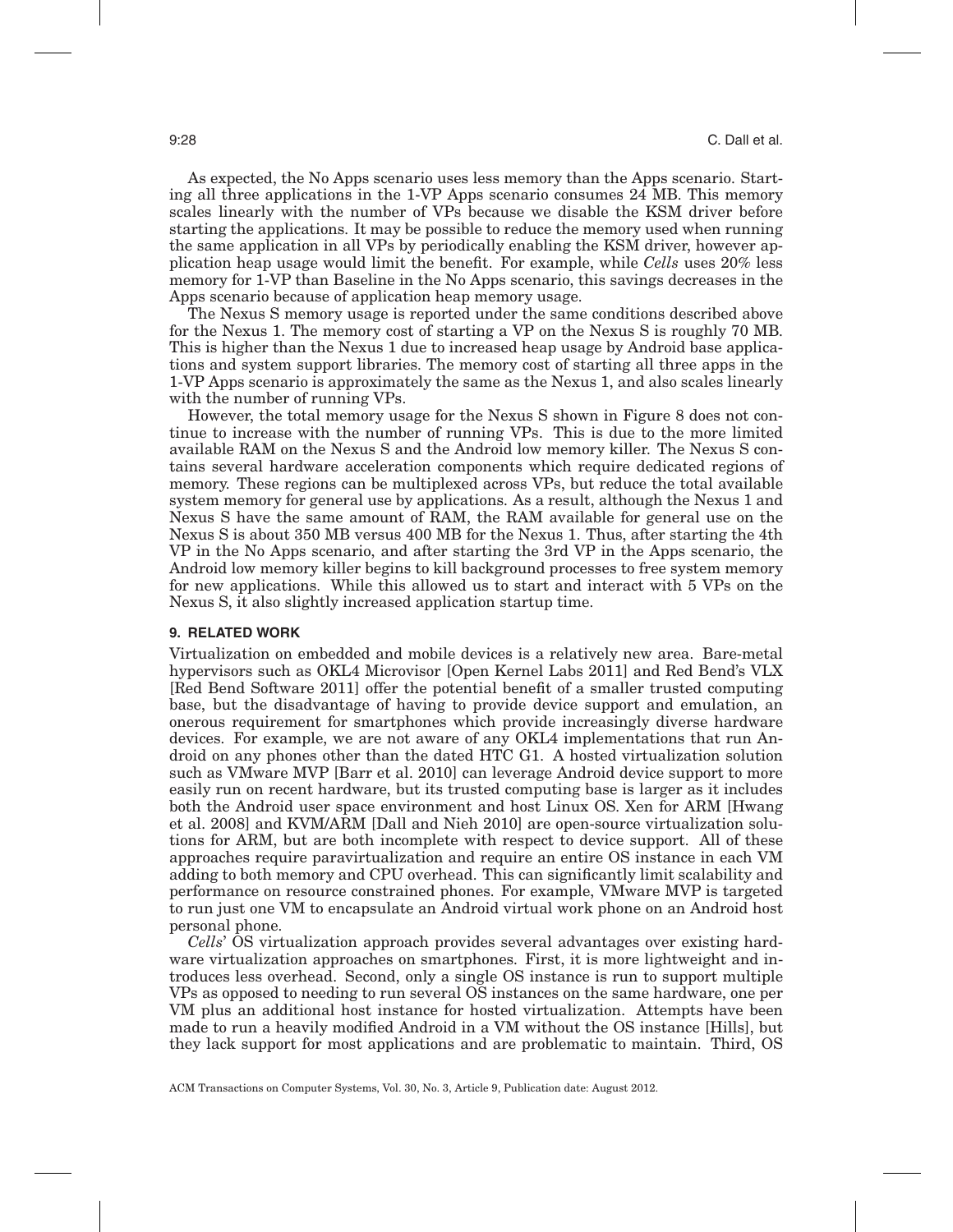As expected, the No Apps scenario uses less memory than the Apps scenario. Starting all three applications in the 1-VP Apps scenario consumes 24 MB. This memory scales linearly with the number of VPs because we disable the KSM driver before starting the applications. It may be possible to reduce the memory used when running the same application in all VPs by periodically enabling the KSM driver, however application heap usage would limit the benefit. For example, while *Cells* uses 20% less memory for 1-VP than Baseline in the No Apps scenario, this savings decreases in the Apps scenario because of application heap memory usage.

The Nexus S memory usage is reported under the same conditions described above for the Nexus 1. The memory cost of starting a VP on the Nexus S is roughly 70 MB. This is higher than the Nexus 1 due to increased heap usage by Android base applications and system support libraries. The memory cost of starting all three apps in the 1-VP Apps scenario is approximately the same as the Nexus 1, and also scales linearly with the number of running VPs.

However, the total memory usage for the Nexus S shown in Figure 8 does not continue to increase with the number of running VPs. This is due to the more limited available RAM on the Nexus S and the Android low memory killer. The Nexus S contains several hardware acceleration components which require dedicated regions of memory. These regions can be multiplexed across VPs, but reduce the total available system memory for general use by applications. As a result, although the Nexus 1 and Nexus S have the same amount of RAM, the RAM available for general use on the Nexus S is about 350 MB versus 400 MB for the Nexus 1. Thus, after starting the 4th VP in the No Apps scenario, and after starting the 3rd VP in the Apps scenario, the Android low memory killer begins to kill background processes to free system memory for new applications. While this allowed us to start and interact with 5 VPs on the Nexus S, it also slightly increased application startup time.

### **9. RELATED WORK**

Virtualization on embedded and mobile devices is a relatively new area. Bare-metal hypervisors such as OKL4 Microvisor [Open Kernel Labs 2011] and Red Bend's VLX [Red Bend Software 2011] offer the potential benefit of a smaller trusted computing base, but the disadvantage of having to provide device support and emulation, an onerous requirement for smartphones which provide increasingly diverse hardware devices. For example, we are not aware of any OKL4 implementations that run Android on any phones other than the dated HTC G1. A hosted virtualization solution such as VMware MVP [Barr et al. 2010] can leverage Android device support to more easily run on recent hardware, but its trusted computing base is larger as it includes both the Android user space environment and host Linux OS. Xen for ARM [Hwang et al. 2008] and KVM/ARM [Dall and Nieh 2010] are open-source virtualization solutions for ARM, but are both incomplete with respect to device support. All of these approaches require paravirtualization and require an entire OS instance in each VM adding to both memory and CPU overhead. This can significantly limit scalability and performance on resource constrained phones. For example, VMware MVP is targeted to run just one VM to encapsulate an Android virtual work phone on an Android host personal phone.

*Cells*' OS virtualization approach provides several advantages over existing hardware virtualization approaches on smartphones. First, it is more lightweight and introduces less overhead. Second, only a single OS instance is run to support multiple VPs as opposed to needing to run several OS instances on the same hardware, one per VM plus an additional host instance for hosted virtualization. Attempts have been made to run a heavily modified Android in a VM without the OS instance [Hills], but they lack support for most applications and are problematic to maintain. Third, OS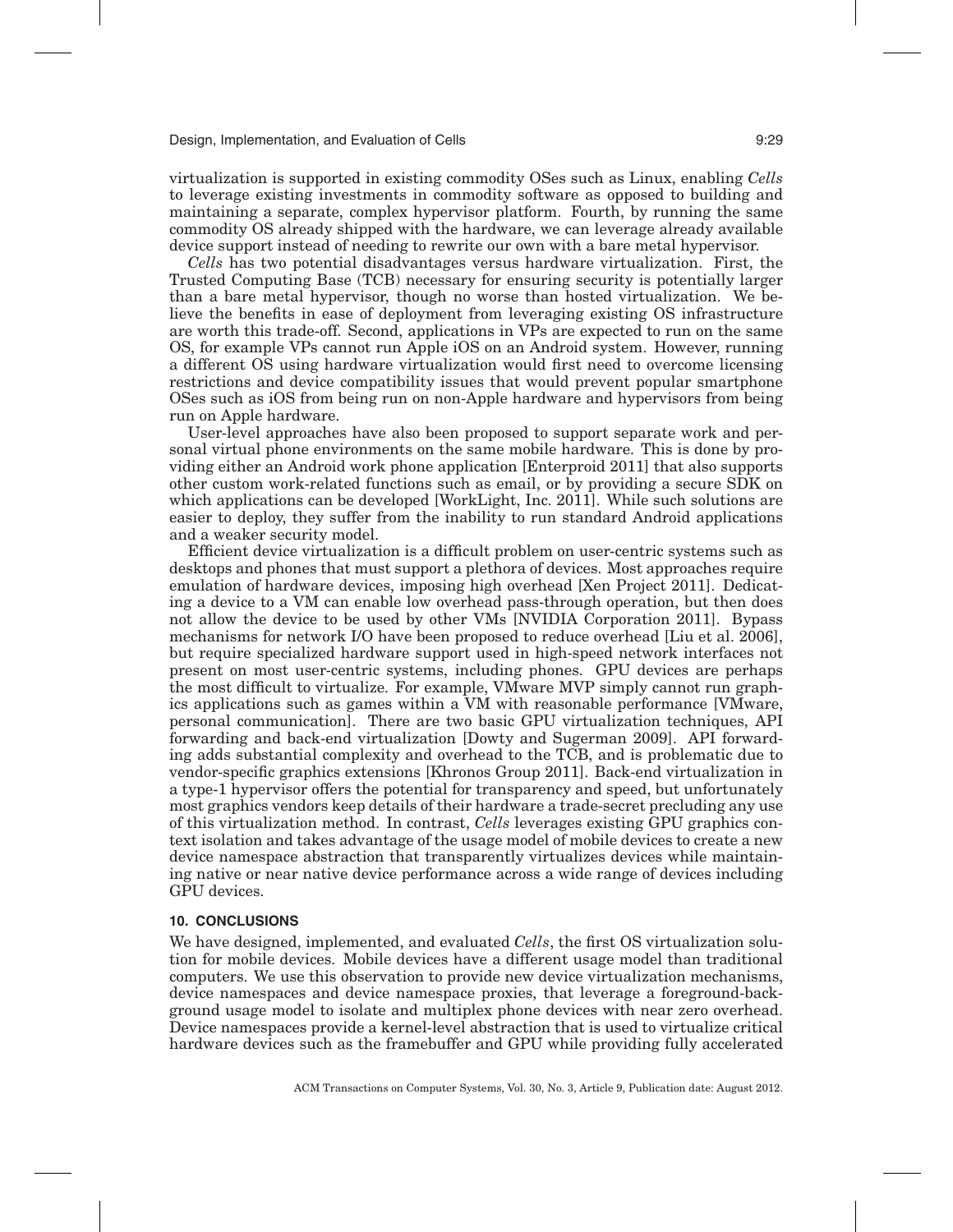virtualization is supported in existing commodity OSes such as Linux, enabling *Cells* to leverage existing investments in commodity software as opposed to building and maintaining a separate, complex hypervisor platform. Fourth, by running the same commodity OS already shipped with the hardware, we can leverage already available device support instead of needing to rewrite our own with a bare metal hypervisor.

*Cells* has two potential disadvantages versus hardware virtualization. First, the Trusted Computing Base (TCB) necessary for ensuring security is potentially larger than a bare metal hypervisor, though no worse than hosted virtualization. We believe the benefits in ease of deployment from leveraging existing OS infrastructure are worth this trade-off. Second, applications in VPs are expected to run on the same OS, for example VPs cannot run Apple iOS on an Android system. However, running a different OS using hardware virtualization would first need to overcome licensing restrictions and device compatibility issues that would prevent popular smartphone OSes such as iOS from being run on non-Apple hardware and hypervisors from being run on Apple hardware.

User-level approaches have also been proposed to support separate work and personal virtual phone environments on the same mobile hardware. This is done by providing either an Android work phone application [Enterproid 2011] that also supports other custom work-related functions such as email, or by providing a secure SDK on which applications can be developed [WorkLight, Inc. 2011]. While such solutions are easier to deploy, they suffer from the inability to run standard Android applications and a weaker security model.

Efficient device virtualization is a difficult problem on user-centric systems such as desktops and phones that must support a plethora of devices. Most approaches require emulation of hardware devices, imposing high overhead [Xen Project 2011]. Dedicating a device to a VM can enable low overhead pass-through operation, but then does not allow the device to be used by other VMs [NVIDIA Corporation 2011]. Bypass mechanisms for network I/O have been proposed to reduce overhead [Liu et al. 2006], but require specialized hardware support used in high-speed network interfaces not present on most user-centric systems, including phones. GPU devices are perhaps the most difficult to virtualize. For example, VMware MVP simply cannot run graphics applications such as games within a VM with reasonable performance [VMware, personal communication]. There are two basic GPU virtualization techniques, API forwarding and back-end virtualization [Dowty and Sugerman 2009]. API forwarding adds substantial complexity and overhead to the TCB, and is problematic due to vendor-specific graphics extensions [Khronos Group 2011]. Back-end virtualization in a type-1 hypervisor offers the potential for transparency and speed, but unfortunately most graphics vendors keep details of their hardware a trade-secret precluding any use of this virtualization method. In contrast, *Cells* leverages existing GPU graphics context isolation and takes advantage of the usage model of mobile devices to create a new device namespace abstraction that transparently virtualizes devices while maintaining native or near native device performance across a wide range of devices including GPU devices.

## **10. CONCLUSIONS**

We have designed, implemented, and evaluated *Cells*, the first OS virtualization solution for mobile devices. Mobile devices have a different usage model than traditional computers. We use this observation to provide new device virtualization mechanisms, device namespaces and device namespace proxies, that leverage a foreground-background usage model to isolate and multiplex phone devices with near zero overhead. Device namespaces provide a kernel-level abstraction that is used to virtualize critical hardware devices such as the framebuffer and GPU while providing fully accelerated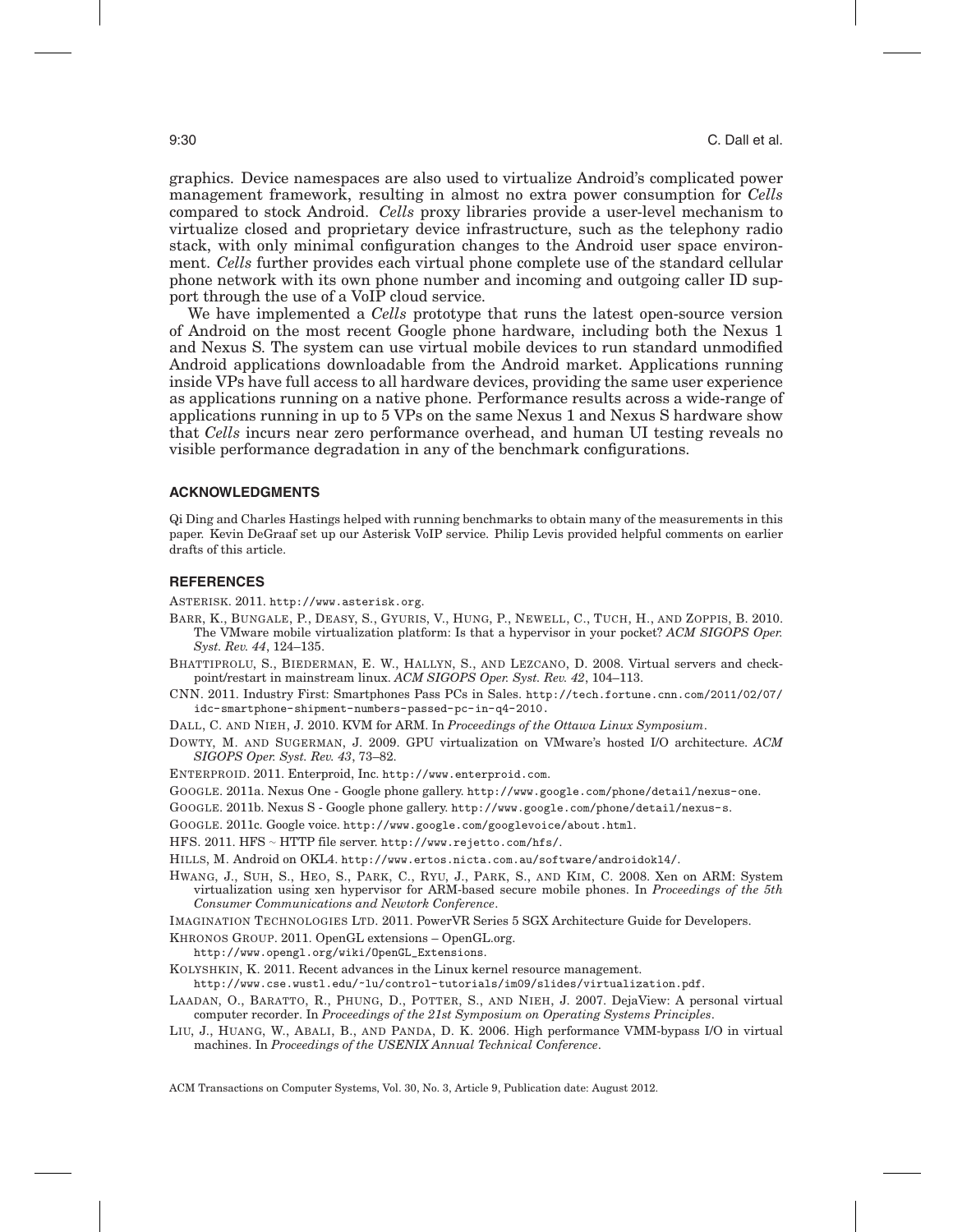graphics. Device namespaces are also used to virtualize Android's complicated power management framework, resulting in almost no extra power consumption for *Cells* compared to stock Android. *Cells* proxy libraries provide a user-level mechanism to virtualize closed and proprietary device infrastructure, such as the telephony radio stack, with only minimal configuration changes to the Android user space environment. *Cells* further provides each virtual phone complete use of the standard cellular phone network with its own phone number and incoming and outgoing caller ID support through the use of a VoIP cloud service.

We have implemented a *Cells* prototype that runs the latest open-source version of Android on the most recent Google phone hardware, including both the Nexus 1 and Nexus S. The system can use virtual mobile devices to run standard unmodified Android applications downloadable from the Android market. Applications running inside VPs have full access to all hardware devices, providing the same user experience as applications running on a native phone. Performance results across a wide-range of applications running in up to 5 VPs on the same Nexus 1 and Nexus S hardware show that *Cells* incurs near zero performance overhead, and human UI testing reveals no visible performance degradation in any of the benchmark configurations.

#### **ACKNOWLEDGMENTS**

Qi Ding and Charles Hastings helped with running benchmarks to obtain many of the measurements in this paper. Kevin DeGraaf set up our Asterisk VoIP service. Philip Levis provided helpful comments on earlier drafts of this article.

#### **REFERENCES**

ASTERISK. 2011. http://www.asterisk.org.

- BARR, K., BUNGALE, P., DEASY, S., GYURIS, V., HUNG, P., NEWELL, C., TUCH, H., AND ZOPPIS, B. 2010. The VMware mobile virtualization platform: Is that a hypervisor in your pocket? *ACM SIGOPS Oper. Syst. Rev. 44*, 124–135.
- BHATTIPROLU, S., BIEDERMAN, E. W., HALLYN, S., AND LEZCANO, D. 2008. Virtual servers and checkpoint/restart in mainstream linux. *ACM SIGOPS Oper. Syst. Rev. 42*, 104–113.
- CNN. 2011. Industry First: Smartphones Pass PCs in Sales. http://tech.fortune.cnn.com/2011/02/07/ idc-smartphone-shipment-numbers-passed-pc-in-q4-2010.
- DALL, C. AND NIEH, J. 2010. KVM for ARM. In *Proceedings of the Ottawa Linux Symposium*.
- DOWTY, M. AND SUGERMAN, J. 2009. GPU virtualization on VMware's hosted I/O architecture. *ACM SIGOPS Oper. Syst. Rev. 43*, 73–82.

ENTERPROID. 2011. Enterproid, Inc. http://www.enterproid.com.

- GOOGLE. 2011a. Nexus One Google phone gallery. http://www.google.com/phone/detail/nexus-one.
- GOOGLE. 2011b. Nexus S Google phone gallery. http://www.google.com/phone/detail/nexus-s.
- GOOGLE. 2011c. Google voice. http://www.google.com/googlevoice/about.html.
- HFS. 2011. HFS <sup>∼</sup> HTTP file server. http://www.rejetto.com/hfs/.
- HILLS, M. Android on OKL4. http://www.ertos.nicta.com.au/software/androidokl4/.
- HWANG, J., SUH, S., HEO, S., PARK, C., RYU, J., PARK, S., AND KIM, C. 2008. Xen on ARM: System virtualization using xen hypervisor for ARM-based secure mobile phones. In *Proceedings of the 5th Consumer Communications and Newtork Conference*.
- IMAGINATION TECHNOLOGIES LTD. 2011. PowerVR Series 5 SGX Architecture Guide for Developers.

KHRONOS GROUP. 2011. OpenGL extensions – OpenGL.org.

http://www.opengl.org/wiki/OpenGL\_Extensions.

KOLYSHKIN, K. 2011. Recent advances in the Linux kernel resource management.

http://www.cse.wustl.edu/~lu/control-tutorials/im09/slides/virtualization.pdf.

- LAADAN, O., BARATTO, R., PHUNG, D., POTTER, S., AND NIEH, J. 2007. DejaView: A personal virtual computer recorder. In *Proceedings of the 21st Symposium on Operating Systems Principles*.
- LIU, J., HUANG, W., ABALI, B., AND PANDA, D. K. 2006. High performance VMM-bypass I/O in virtual machines. In *Proceedings of the USENIX Annual Technical Conference*.